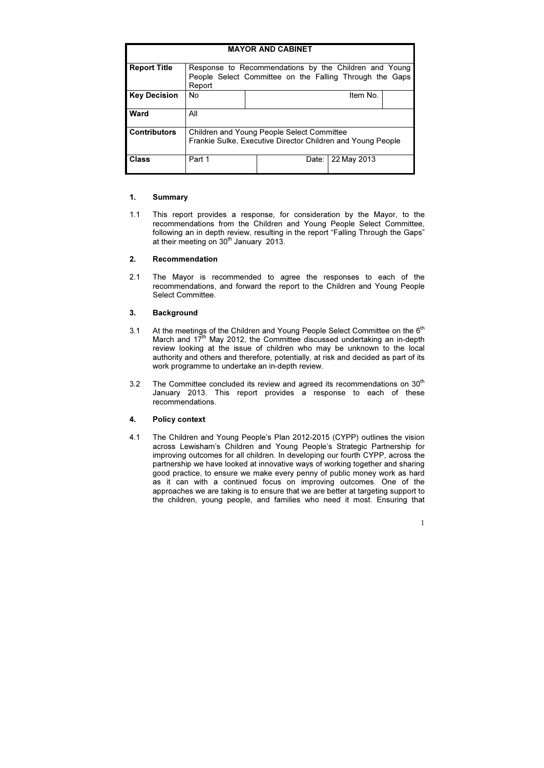1.1 This report provides a response, for consideration by the Mayor, to the recommendations from the Children and Young People Select Committee, following an in depth review, resulting in the report "Falling Through the Gaps" at their meeting on  $30<sup>th</sup>$  January 2013.

## 1. Summary

## 2. Recommendation

2.1 The Mayor is recommended to agree the responses to each of the recommendations, and forward the report to the Children and Young People Select Committee.

## 3. Background

- 3.1 At the meetings of the Children and Young People Select Committee on the 6<sup>th</sup> March and  $17<sup>th</sup>$  May 2012, the Committee discussed undertaking an in-depth review looking at the issue of children who may be unknown to the local authority and others and therefore, potentially, at risk and decided as part of its work programme to undertake an in-depth review.
- 3.2 The Committee concluded its review and agreed its recommendations on  $30<sup>th</sup>$ January 2013. This report provides a response to each of these recommendations.

## 4. Policy context

4.1 The Children and Young People's Plan 2012-2015 (CYPP) outlines the vision across Lewisham's Children and Young People's Strategic Partnership for improving outcomes for all children. In developing our fourth CYPP, across the partnership we have looked at innovative ways of working together and sharing good practice, to ensure we make every penny of public money work as hard as it can with a continued focus on improving outcomes. One of the approaches we are taking is to ensure that we are better at targeting support to the children, young people, and families who need it most. Ensuring that

| <b>MAYOR AND CABINET</b> |                                                                                                                            |       |             |  |  |
|--------------------------|----------------------------------------------------------------------------------------------------------------------------|-------|-------------|--|--|
| <b>Report Title</b>      | Response to Recommendations by the Children and Young<br>People Select Committee on the Falling Through the Gaps<br>Report |       |             |  |  |
| <b>Key Decision</b>      | <b>No</b>                                                                                                                  |       | Item No.    |  |  |
| <b>Ward</b>              | All                                                                                                                        |       |             |  |  |
| <b>Contributors</b>      | <b>Children and Young People Select Committee</b><br>Frankie Sulke, Executive Director Children and Young People           |       |             |  |  |
| <b>Class</b>             | Part 1                                                                                                                     | Date: | 22 May 2013 |  |  |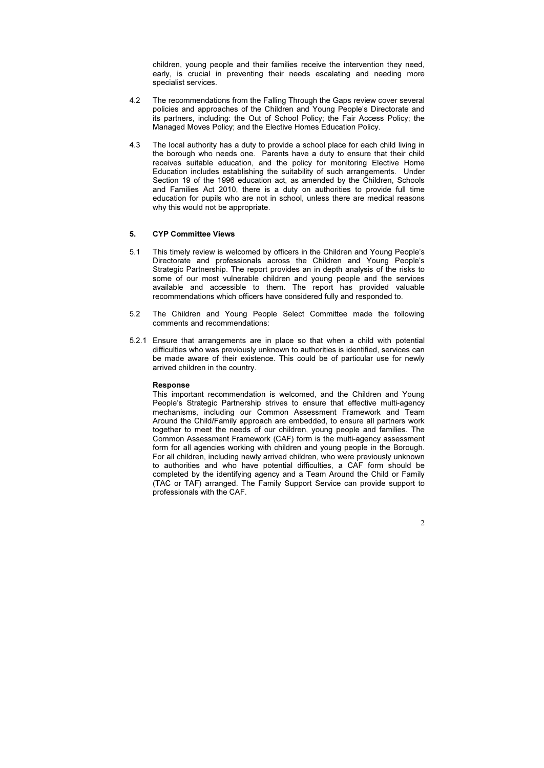children, young people and their families receive the intervention they need, early, is crucial in preventing their needs escalating and needing more specialist services.

- 4.2 The recommendations from the Falling Through the Gaps review cover several policies and approaches of the Children and Young People's Directorate and its partners, including: the Out of School Policy; the Fair Access Policy; the Managed Moves Policy; and the Elective Homes Education Policy.
- 4.3 The local authority has a duty to provide a school place for each child living in the borough who needs one. Parents have a duty to ensure that their child receives suitable education, and the policy for monitoring Elective Home Education includes establishing the suitability of such arrangements. Under Section 19 of the 1996 education act, as amended by the Children, Schools and Families Act 2010, there is a duty on authorities to provide full time education for pupils who are not in school, unless there are medical reasons why this would not be appropriate.

#### 5. CYP Committee Views

- 5.1 This timely review is welcomed by officers in the Children and Young People's Directorate and professionals across the Children and Young People's Strategic Partnership. The report provides an in depth analysis of the risks to some of our most vulnerable children and young people and the services available and accessible to them. The report has provided valuable recommendations which officers have considered fully and responded to.
- 5.2 The Children and Young People Select Committee made the following comments and recommendations:
- 5.2.1 Ensure that arrangements are in place so that when a child with potential difficulties who was previously unknown to authorities is identified, services can be made aware of their existence. This could be of particular use for newly arrived children in the country.

#### Response

This important recommendation is welcomed, and the Children and Young People's Strategic Partnership strives to ensure that effective multi-agency mechanisms, including our Common Assessment Framework and Team Around the Child/Family approach are embedded, to ensure all partners work together to meet the needs of our children, young people and families. The Common Assessment Framework (CAF) form is the multi-agency assessment form for all agencies working with children and young people in the Borough. For all children, including newly arrived children, who were previously unknown to authorities and who have potential difficulties, a CAF form should be completed by the identifying agency and a Team Around the Child or Family (TAC or TAF) arranged. The Family Support Service can provide support to professionals with the CAF.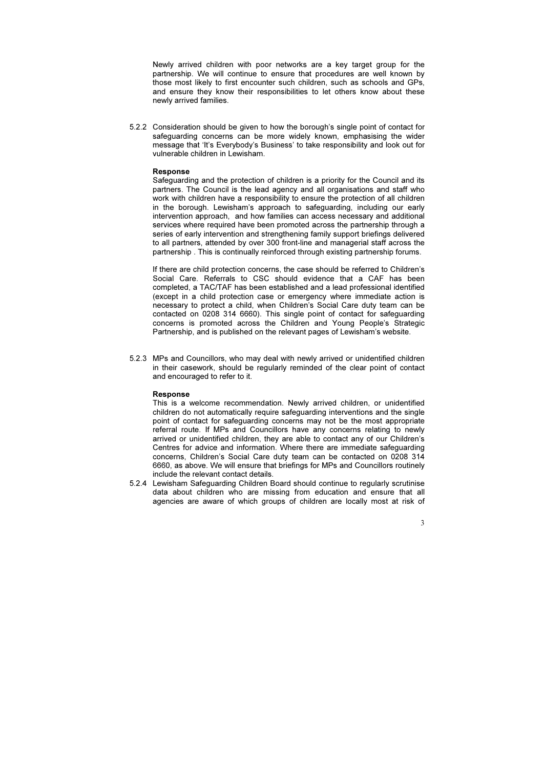Newly arrived children with poor networks are a key target group for the partnership. We will continue to ensure that procedures are well known by those most likely to first encounter such children, such as schools and GPs, and ensure they know their responsibilities to let others know about these newly arrived families.

5.2.2 Consideration should be given to how the borough's single point of contact for safeguarding concerns can be more widely known, emphasising the wider message that 'It's Everybody's Business' to take responsibility and look out for vulnerable children in Lewisham.

#### Response

Safeguarding and the protection of children is a priority for the Council and its partners. The Council is the lead agency and all organisations and staff who work with children have a responsibility to ensure the protection of all children in the borough. Lewisham's approach to safeguarding, including our early intervention approach, and how families can access necessary and additional services where required have been promoted across the partnership through a series of early intervention and strengthening family support briefings delivered to all partners, attended by over 300 front-line and managerial staff across the partnership . This is continually reinforced through existing partnership forums.

If there are child protection concerns, the case should be referred to Children's Social Care. Referrals to CSC should evidence that a CAF has been completed, a TAC/TAF has been established and a lead professional identified (except in a child protection case or emergency where immediate action is necessary to protect a child, when Children's Social Care duty team can be contacted on 0208 314 6660). This single point of contact for safeguarding concerns is promoted across the Children and Young People's Strategic Partnership, and is published on the relevant pages of Lewisham's website.

5.2.3 MPs and Councillors, who may deal with newly arrived or unidentified children in their casework, should be regularly reminded of the clear point of contact and encouraged to refer to it.

#### Response

This is a welcome recommendation. Newly arrived children, or unidentified children do not automatically require safeguarding interventions and the single point of contact for safeguarding concerns may not be the most appropriate referral route. If MPs and Councillors have any concerns relating to newly arrived or unidentified children, they are able to contact any of our Children's Centres for advice and information. Where there are immediate safeguarding concerns, Children's Social Care duty team can be contacted on 0208 314 6660, as above. We will ensure that briefings for MPs and Councillors routinely include the relevant contact details.

5.2.4 Lewisham Safeguarding Children Board should continue to regularly scrutinise data about children who are missing from education and ensure that all agencies are aware of which groups of children are locally most at risk of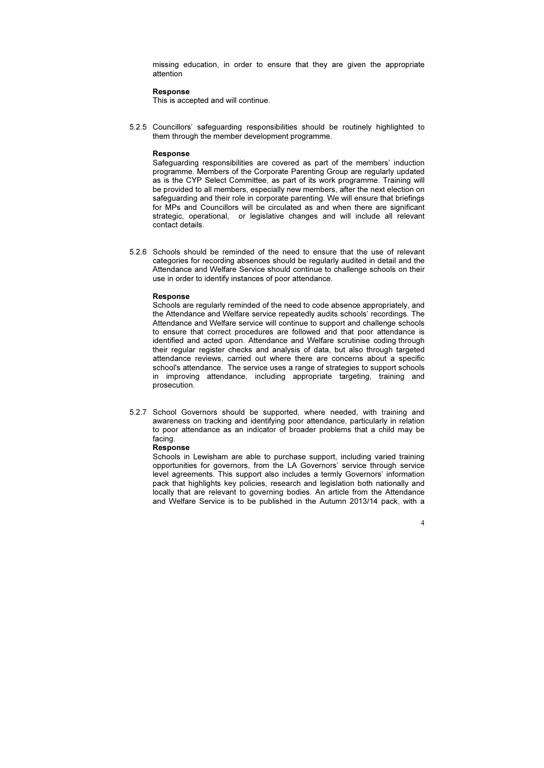missing education, in order to ensure that they are given the appropriate attention

#### Response

This is accepted and will continue.

5.2.5 Councillors' safeguarding responsibilities should be routinely highlighted to them through the member development programme.

#### Response

Safeguarding responsibilities are covered as part of the members' induction programme. Members of the Corporate Parenting Group are regularly updated as is the CYP Select Committee, as part of its work programme. Training will be provided to all members, especially new members, after the next election on safeguarding and their role in corporate parenting. We will ensure that briefings for MPs and Councillors will be circulated as and when there are significant strategic, operational, or legislative changes and will include all relevant contact details.

5.2.6 Schools should be reminded of the need to ensure that the use of relevant categories for recording absences should be regularly audited in detail and the Attendance and Welfare Service should continue to challenge schools on their use in order to identify instances of poor attendance.

#### Response

Schools are regularly reminded of the need to code absence appropriately, and the Attendance and Welfare service repeatedly audits schools' recordings. The Attendance and Welfare service will continue to support and challenge schools to ensure that correct procedures are followed and that poor attendance is identified and acted upon. Attendance and Welfare scrutinise coding through their regular register checks and analysis of data, but also through targeted attendance reviews, carried out where there are concerns about a specific school's attendance. The service uses a range of strategies to support schools in improving attendance, including appropriate targeting, training and prosecution.

5.2.7 School Governors should be supported, where needed, with training and awareness on tracking and identifying poor attendance, particularly in relation to poor attendance as an indicator of broader problems that a child may be facing.

#### Response

Schools in Lewisham are able to purchase support, including varied training opportunities for governors, from the LA Governors' service through service level agreements. This support also includes a termly Governors' information pack that highlights key policies, research and legislation both nationally and locally that are relevant to governing bodies. An article from the Attendance and Welfare Service is to be published in the Autumn 2013/14 pack, with a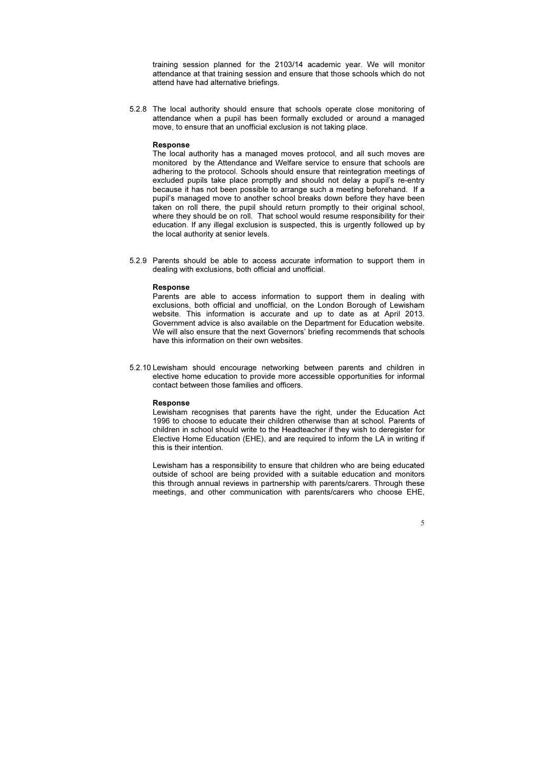training session planned for the 2103/14 academic year. We will monitor attendance at that training session and ensure that those schools which do not attend have had alternative briefings.

5.2.8 The local authority should ensure that schools operate close monitoring of attendance when a pupil has been formally excluded or around a managed move, to ensure that an unofficial exclusion is not taking place.

#### Response

The local authority has a managed moves protocol, and all such moves are monitored by the Attendance and Welfare service to ensure that schools are adhering to the protocol. Schools should ensure that reintegration meetings of excluded pupils take place promptly and should not delay a pupil's re-entry because it has not been possible to arrange such a meeting beforehand. If a pupil's managed move to another school breaks down before they have been taken on roll there, the pupil should return promptly to their original school, where they should be on roll. That school would resume responsibility for their education. If any illegal exclusion is suspected, this is urgently followed up by the local authority at senior levels.

5.2.9 Parents should be able to access accurate information to support them in dealing with exclusions, both official and unofficial.

#### Response

Parents are able to access information to support them in dealing with exclusions, both official and unofficial, on the London Borough of Lewisham website. This information is accurate and up to date as at April 2013. Government advice is also available on the Department for Education website. We will also ensure that the next Governors' briefing recommends that schools have this information on their own websites.

5.2.10 Lewisham should encourage networking between parents and children in elective home education to provide more accessible opportunities for informal contact between those families and officers.

#### Response

Lewisham recognises that parents have the right, under the Education Act 1996 to choose to educate their children otherwise than at school. Parents of children in school should write to the Headteacher if they wish to deregister for Elective Home Education (EHE), and are required to inform the LA in writing if this is their intention.

Lewisham has a responsibility to ensure that children who are being educated outside of school are being provided with a suitable education and monitors this through annual reviews in partnership with parents/carers. Through these meetings, and other communication with parents/carers who choose EHE,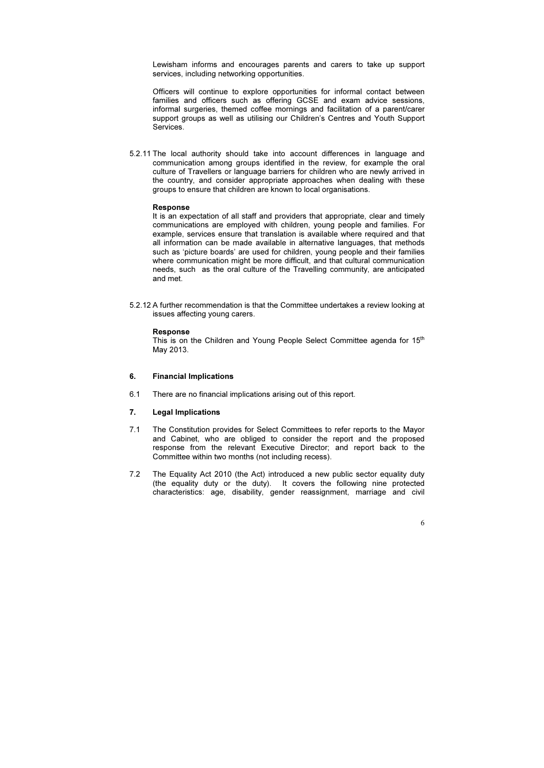Lewisham informs and encourages parents and carers to take up support services, including networking opportunities.

Officers will continue to explore opportunities for informal contact between families and officers such as offering GCSE and exam advice sessions, informal surgeries, themed coffee mornings and facilitation of a parent/carer support groups as well as utilising our Children's Centres and Youth Support Services.

5.2.11 The local authority should take into account differences in language and communication among groups identified in the review, for example the oral culture of Travellers or language barriers for children who are newly arrived in the country, and consider appropriate approaches when dealing with these groups to ensure that children are known to local organisations.

This is on the Children and Young People Select Committee agenda for 15<sup>th</sup> May 2013.

#### Response

It is an expectation of all staff and providers that appropriate, clear and timely communications are employed with children, young people and families. For example, services ensure that translation is available where required and that all information can be made available in alternative languages, that methods such as 'picture boards' are used for children, young people and their families where communication might be more difficult, and that cultural communication needs, such as the oral culture of the Travelling community, are anticipated and met.

5.2.12 A further recommendation is that the Committee undertakes a review looking at issues affecting young carers.

#### Response

#### 6. Financial Implications

6.1 There are no financial implications arising out of this report.

#### 7. Legal Implications

- 7.1 The Constitution provides for Select Committees to refer reports to the Mayor and Cabinet, who are obliged to consider the report and the proposed response from the relevant Executive Director; and report back to the Committee within two months (not including recess).
- 7.2 The Equality Act 2010 (the Act) introduced a new public sector equality duty (the equality duty or the duty). It covers the following nine protected characteristics: age, disability, gender reassignment, marriage and civil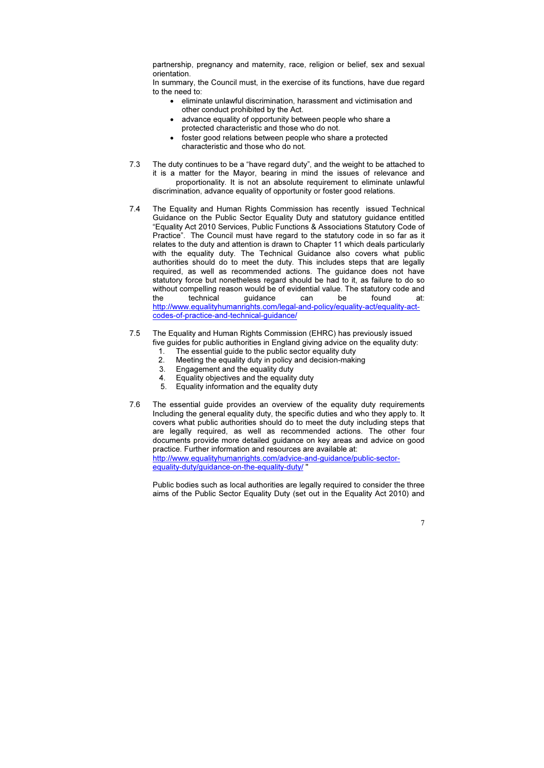partnership, pregnancy and maternity, race, religion or belief, sex and sexual orientation.

In summary, the Council must, in the exercise of its functions, have due regard to the need to:

- eliminate unlawful discrimination, harassment and victimisation and other conduct prohibited by the Act.
- advance equality of opportunity between people who share a protected characteristic and those who do not.
- foster good relations between people who share a protected characteristic and those who do not.
- 7.3 The duty continues to be a "have regard duty", and the weight to be attached to it is a matter for the Mayor, bearing in mind the issues of relevance and proportionality. It is not an absolute requirement to eliminate unlawful discrimination, advance equality of opportunity or foster good relations.
- 7.4 The Equality and Human Rights Commission has recently issued Technical Guidance on the Public Sector Equality Duty and statutory guidance entitled "Equality Act 2010 Services, Public Functions & Associations Statutory Code of Practice". The Council must have regard to the statutory code in so far as it relates to the duty and attention is drawn to Chapter 11 which deals particularly with the equality duty. The Technical Guidance also covers what public authorities should do to meet the duty. This includes steps that are legally required, as well as recommended actions. The guidance does not have statutory force but nonetheless regard should be had to it, as failure to do so without compelling reason would be of evidential value. The statutory code and the technical guidance can be found at: http://www.equalityhumanrights.com/legal-and-policy/equality-act/equality-actcodes-of-practice-and-technical-guidance/
- 7.5 The Equality and Human Rights Commission (EHRC) has previously issued five guides for public authorities in England giving advice on the equality duty:
	- 1. The essential guide to the public sector equality duty
	- 2. Meeting the equality duty in policy and decision-making
	- 3. Engagement and the equality duty
	- 4. Equality objectives and the equality duty
	- 5. Equality information and the equality duty
- 7.6 The essential guide provides an overview of the equality duty requirements Including the general equality duty, the specific duties and who they apply to. It covers what public authorities should do to meet the duty including steps that are legally required, as well as recommended actions. The other four documents provide more detailed guidance on key areas and advice on good practice. Further information and resources are available at: http://www.equalityhumanrights.com/advice-and-guidance/public-sectorequality-duty/guidance-on-the-equality-duty/ "

Public bodies such as local authorities are legally required to consider the three aims of the Public Sector Equality Duty (set out in the Equality Act 2010) and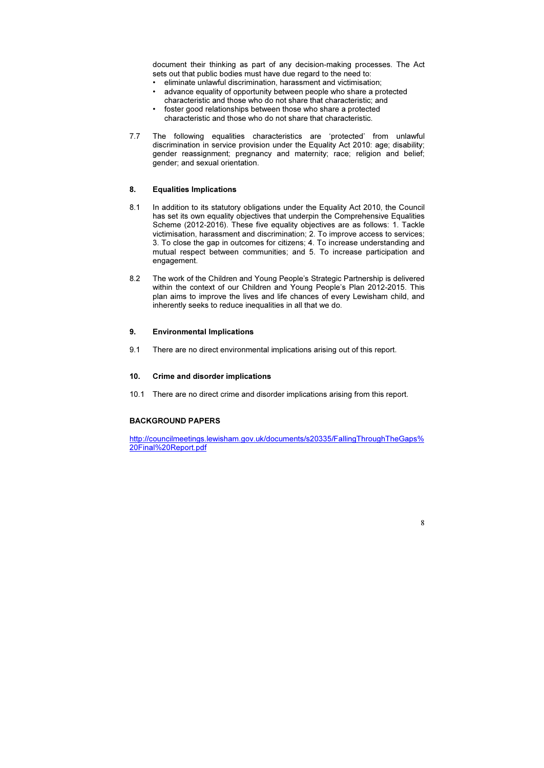document their thinking as part of any decision-making processes. The Act sets out that public bodies must have due regard to the need to:

- eliminate unlawful discrimination, harassment and victimisation;
- advance equality of opportunity between people who share a protected characteristic and those who do not share that characteristic; and
- foster good relationships between those who share a protected characteristic and those who do not share that characteristic.
- 7.7 The following equalities characteristics are 'protected' from unlawful discrimination in service provision under the Equality Act 2010: age; disability; gender reassignment; pregnancy and maternity; race; religion and belief; gender; and sexual orientation.

## 8. Equalities Implications

- 8.1 In addition to its statutory obligations under the Equality Act 2010, the Council has set its own equality objectives that underpin the Comprehensive Equalities Scheme (2012-2016). These five equality objectives are as follows: 1. Tackle victimisation, harassment and discrimination; 2. To improve access to services; 3. To close the gap in outcomes for citizens; 4. To increase understanding and mutual respect between communities; and 5. To increase participation and engagement.
- 8.2 The work of the Children and Young People's Strategic Partnership is delivered within the context of our Children and Young People's Plan 2012-2015. This plan aims to improve the lives and life chances of every Lewisham child, and inherently seeks to reduce inequalities in all that we do.

#### 9. Environmental Implications

9.1 There are no direct environmental implications arising out of this report.

## 10. Crime and disorder implications

10.1 There are no direct crime and disorder implications arising from this report.

## BACKGROUND PAPERS

http://councilmeetings.lewisham.gov.uk/documents/s20335/FallingThroughTheGaps% 20Final%20Report.pdf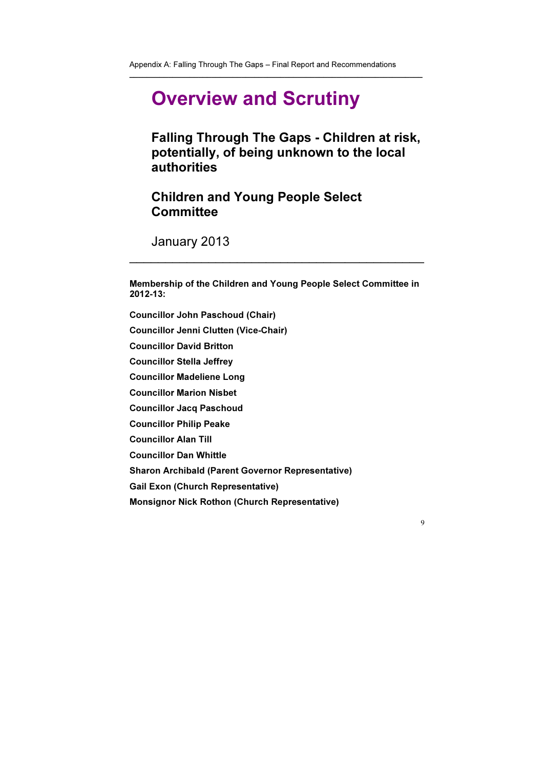\_\_\_\_\_\_\_\_\_\_\_\_\_\_\_\_\_\_\_\_\_\_\_\_\_\_\_\_\_\_\_\_\_\_\_\_\_\_\_\_\_\_\_\_\_\_\_\_\_\_\_\_\_\_\_\_\_\_\_\_\_\_\_\_\_\_\_\_

# Children and Young People Select **Committee**

# Overview and Scrutiny

Falling Through The Gaps - Children at risk, potentially, of being unknown to the local authorities

January 2013

Membership of the Children and Young People Select Committee in 2012-13:

 $\overline{\phantom{a}}$  , and the contract of the contract of the contract of the contract of the contract of the contract of the contract of the contract of the contract of the contract of the contract of the contract of the contrac

Councillor John Paschoud (Chair)

Councillor Jenni Clutten (Vice-Chair)

Councillor David Britton

Councillor Stella Jeffrey

Councillor Madeliene Long

Councillor Marion Nisbet

Councillor Jacq Paschoud

Councillor Philip Peake

Councillor Alan Till

Councillor Dan Whittle

Sharon Archibald (Parent Governor Representative)

Gail Exon (Church Representative)

Monsignor Nick Rothon (Church Representative)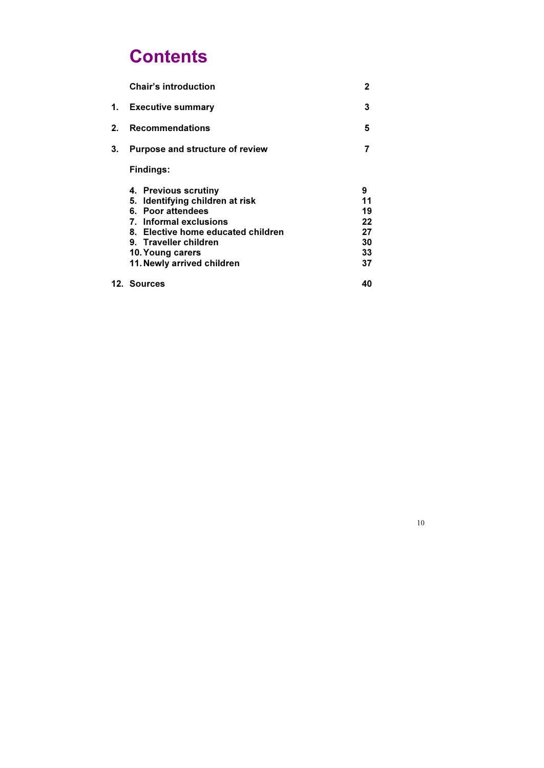# **Contents**

|         | <b>Chair's introduction</b>                                                                                                                                                                                             |                                             |
|---------|-------------------------------------------------------------------------------------------------------------------------------------------------------------------------------------------------------------------------|---------------------------------------------|
| 1.      | <b>Executive summary</b>                                                                                                                                                                                                | 3                                           |
| $2_{-}$ | <b>Recommendations</b>                                                                                                                                                                                                  | 5                                           |
| 3.      | Purpose and structure of review                                                                                                                                                                                         |                                             |
|         | <b>Findings:</b>                                                                                                                                                                                                        |                                             |
|         | 4. Previous scrutiny<br>5. Identifying children at risk<br>6. Poor attendees<br>7. Informal exclusions<br>8. Elective home educated children<br>9. Traveller children<br>10. Young carers<br>11. Newly arrived children | 9<br>11<br>19<br>22<br>27<br>30<br>33<br>37 |
|         | <b>12. Sources</b>                                                                                                                                                                                                      | 40                                          |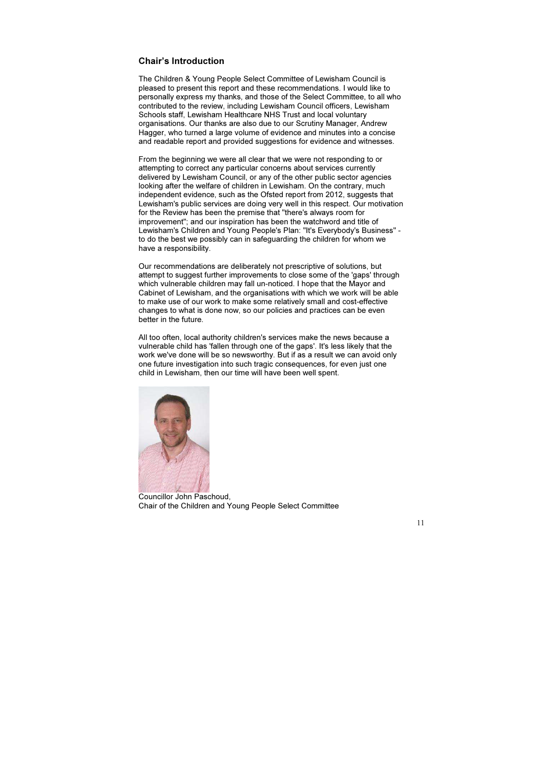## Chair's Introduction

The Children & Young People Select Committee of Lewisham Council is pleased to present this report and these recommendations. I would like to personally express my thanks, and those of the Select Committee, to all who contributed to the review, including Lewisham Council officers, Lewisham Schools staff, Lewisham Healthcare NHS Trust and local voluntary organisations. Our thanks are also due to our Scrutiny Manager, Andrew Hagger, who turned a large volume of evidence and minutes into a concise and readable report and provided suggestions for evidence and witnesses.

From the beginning we were all clear that we were not responding to or attempting to correct any particular concerns about services currently delivered by Lewisham Council, or any of the other public sector agencies looking after the welfare of children in Lewisham. On the contrary, much independent evidence, such as the Ofsted report from 2012, suggests that Lewisham's public services are doing very well in this respect. Our motivation for the Review has been the premise that "there's always room for improvement"; and our inspiration has been the watchword and title of Lewisham's Children and Young People's Plan: "It's Everybody's Business" to do the best we possibly can in safeguarding the children for whom we have a responsibility.

Our recommendations are deliberately not prescriptive of solutions, but attempt to suggest further improvements to close some of the 'gaps' through which vulnerable children may fall un-noticed. I hope that the Mayor and Cabinet of Lewisham, and the organisations with which we work will be able to make use of our work to make some relatively small and cost-effective changes to what is done now, so our policies and practices can be even better in the future.

All too often, local authority children's services make the news because a vulnerable child has 'fallen through one of the gaps'. It's less likely that the work we've done will be so newsworthy. But if as a result we can avoid only one future investigation into such tragic consequences, for even just one child in Lewisham, then our time will have been well spent.



Councillor John Paschoud, Chair of the Children and Young People Select Committee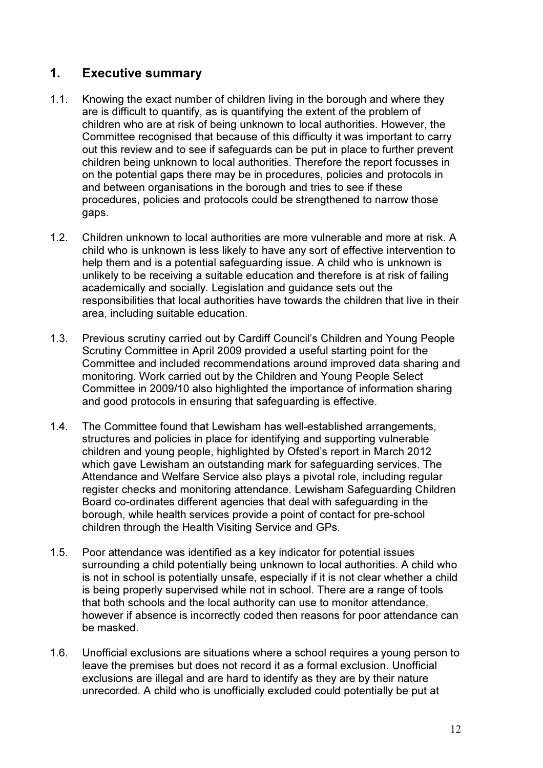# 1. Executive summary

- 1.1. Knowing the exact number of children living in the borough and where they are is difficult to quantify, as is quantifying the extent of the problem of children who are at risk of being unknown to local authorities. However, the Committee recognised that because of this difficulty it was important to carry out this review and to see if safeguards can be put in place to further prevent children being unknown to local authorities. Therefore the report focusses in on the potential gaps there may be in procedures, policies and protocols in and between organisations in the borough and tries to see if these procedures, policies and protocols could be strengthened to narrow those gaps.
- 1.2. Children unknown to local authorities are more vulnerable and more at risk. A child who is unknown is less likely to have any sort of effective intervention to help them and is a potential safeguarding issue. A child who is unknown is unlikely to be receiving a suitable education and therefore is at risk of failing academically and socially. Legislation and guidance sets out the responsibilities that local authorities have towards the children that live in their area, including suitable education.
- 1.3. Previous scrutiny carried out by Cardiff Council's Children and Young People Scrutiny Committee in April 2009 provided a useful starting point for the Committee and included recommendations around improved data sharing and monitoring. Work carried out by the Children and Young People Select Committee in 2009/10 also highlighted the importance of information sharing and good protocols in ensuring that safeguarding is effective.
- 1.4. The Committee found that Lewisham has well-established arrangements, structures and policies in place for identifying and supporting vulnerable children and young people, highlighted by Ofsted's report in March 2012 which gave Lewisham an outstanding mark for safeguarding services. The Attendance and Welfare Service also plays a pivotal role, including regular register checks and monitoring attendance. Lewisham Safeguarding Children Board co-ordinates different agencies that deal with safeguarding in the borough, while health services provide a point of contact for pre-school children through the Health Visiting Service and GPs.
- 1.5. Poor attendance was identified as a key indicator for potential issues surrounding a child potentially being unknown to local authorities. A child who is not in school is potentially unsafe, especially if it is not clear whether a child is being properly supervised while not in school. There are a range of tools that both schools and the local authority can use to monitor attendance, however if absence is incorrectly coded then reasons for poor attendance can be masked.
- 1.6. Unofficial exclusions are situations where a school requires a young person to leave the premises but does not record it as a formal exclusion. Unofficial exclusions are illegal and are hard to identify as they are by their nature unrecorded. A child who is unofficially excluded could potentially be put at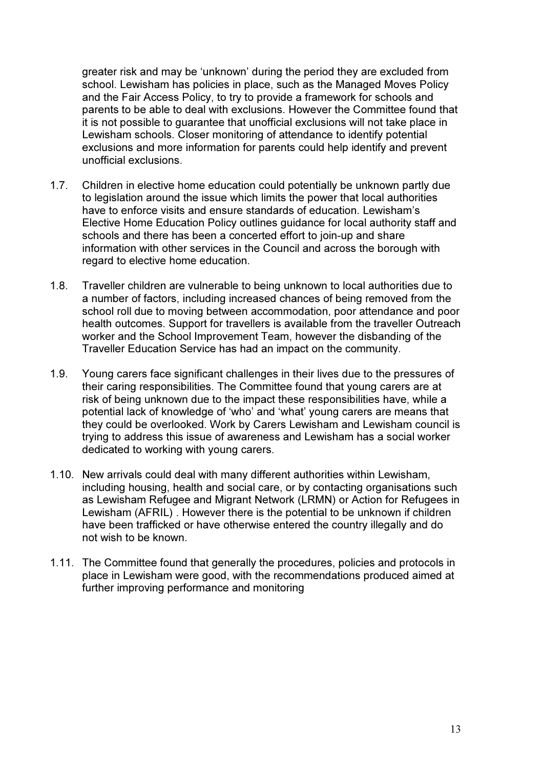greater risk and may be 'unknown' during the period they are excluded from school. Lewisham has policies in place, such as the Managed Moves Policy and the Fair Access Policy, to try to provide a framework for schools and parents to be able to deal with exclusions. However the Committee found that it is not possible to guarantee that unofficial exclusions will not take place in Lewisham schools. Closer monitoring of attendance to identify potential exclusions and more information for parents could help identify and prevent unofficial exclusions.

- 1.7. Children in elective home education could potentially be unknown partly due to legislation around the issue which limits the power that local authorities have to enforce visits and ensure standards of education. Lewisham's Elective Home Education Policy outlines guidance for local authority staff and schools and there has been a concerted effort to join-up and share information with other services in the Council and across the borough with regard to elective home education.
- 1.8. Traveller children are vulnerable to being unknown to local authorities due to a number of factors, including increased chances of being removed from the school roll due to moving between accommodation, poor attendance and poor health outcomes. Support for travellers is available from the traveller Outreach worker and the School Improvement Team, however the disbanding of the Traveller Education Service has had an impact on the community.
- 1.9. Young carers face significant challenges in their lives due to the pressures of their caring responsibilities. The Committee found that young carers are at risk of being unknown due to the impact these responsibilities have, while a potential lack of knowledge of 'who' and 'what' young carers are means that they could be overlooked. Work by Carers Lewisham and Lewisham council is trying to address this issue of awareness and Lewisham has a social worker dedicated to working with young carers.
- 1.10. New arrivals could deal with many different authorities within Lewisham, including housing, health and social care, or by contacting organisations such as Lewisham Refugee and Migrant Network (LRMN) or Action for Refugees in Lewisham (AFRIL) . However there is the potential to be unknown if children have been trafficked or have otherwise entered the country illegally and do not wish to be known.
- 1.11. The Committee found that generally the procedures, policies and protocols in place in Lewisham were good, with the recommendations produced aimed at further improving performance and monitoring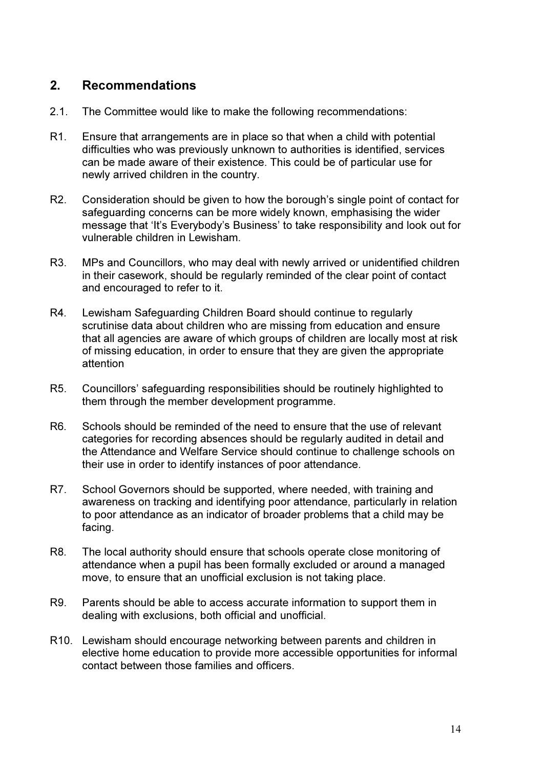# 2. Recommendations

- 2.1. The Committee would like to make the following recommendations:
- R1. Ensure that arrangements are in place so that when a child with potential difficulties who was previously unknown to authorities is identified, services can be made aware of their existence. This could be of particular use for newly arrived children in the country.
- R2. Consideration should be given to how the borough's single point of contact for safeguarding concerns can be more widely known, emphasising the wider message that 'It's Everybody's Business' to take responsibility and look out for vulnerable children in Lewisham.
- R3. MPs and Councillors, who may deal with newly arrived or unidentified children in their casework, should be regularly reminded of the clear point of contact and encouraged to refer to it.
- R4. Lewisham Safeguarding Children Board should continue to regularly scrutinise data about children who are missing from education and ensure that all agencies are aware of which groups of children are locally most at risk of missing education, in order to ensure that they are given the appropriate attention
- R5. Councillors' safeguarding responsibilities should be routinely highlighted to them through the member development programme.
- R6. Schools should be reminded of the need to ensure that the use of relevant categories for recording absences should be regularly audited in detail and the Attendance and Welfare Service should continue to challenge schools on their use in order to identify instances of poor attendance.
- R7. School Governors should be supported, where needed, with training and awareness on tracking and identifying poor attendance, particularly in relation to poor attendance as an indicator of broader problems that a child may be facing.
- R8. The local authority should ensure that schools operate close monitoring of attendance when a pupil has been formally excluded or around a managed move, to ensure that an unofficial exclusion is not taking place.
- R9. Parents should be able to access accurate information to support them in dealing with exclusions, both official and unofficial.
- R10. Lewisham should encourage networking between parents and children in elective home education to provide more accessible opportunities for informal contact between those families and officers.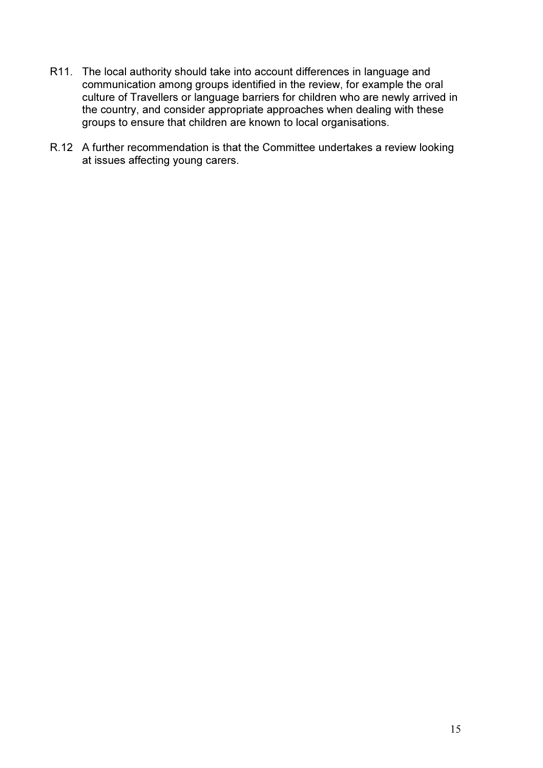- R11. The local authority should take into account differences in language and communication among groups identified in the review, for example the oral culture of Travellers or language barriers for children who are newly arrived in the country, and consider appropriate approaches when dealing with these groups to ensure that children are known to local organisations.
- R.12 A further recommendation is that the Committee undertakes a review looking at issues affecting young carers.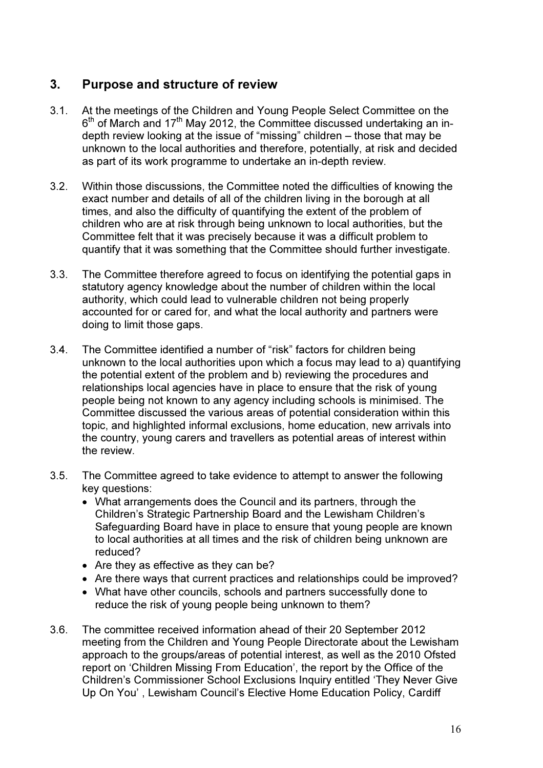# 3. Purpose and structure of review

- 3.1. At the meetings of the Children and Young People Select Committee on the 6<sup>th</sup> of March and 17<sup>th</sup> May 2012, the Committee discussed undertaking an indepth review looking at the issue of "missing" children – those that may be unknown to the local authorities and therefore, potentially, at risk and decided as part of its work programme to undertake an in-depth review.
- 3.2. Within those discussions, the Committee noted the difficulties of knowing the exact number and details of all of the children living in the borough at all times, and also the difficulty of quantifying the extent of the problem of children who are at risk through being unknown to local authorities, but the Committee felt that it was precisely because it was a difficult problem to quantify that it was something that the Committee should further investigate.
- 3.3. The Committee therefore agreed to focus on identifying the potential gaps in statutory agency knowledge about the number of children within the local authority, which could lead to vulnerable children not being properly accounted for or cared for, and what the local authority and partners were doing to limit those gaps.
- 3.4. The Committee identified a number of "risk" factors for children being unknown to the local authorities upon which a focus may lead to a) quantifying the potential extent of the problem and b) reviewing the procedures and relationships local agencies have in place to ensure that the risk of young people being not known to any agency including schools is minimised. The Committee discussed the various areas of potential consideration within this topic, and highlighted informal exclusions, home education, new arrivals into the country, young carers and travellers as potential areas of interest within the review.
- 3.5. The Committee agreed to take evidence to attempt to answer the following key questions:
	- What arrangements does the Council and its partners, through the Children's Strategic Partnership Board and the Lewisham Children's Safeguarding Board have in place to ensure that young people are known to local authorities at all times and the risk of children being unknown are reduced?
	- Are they as effective as they can be?
	- Are there ways that current practices and relationships could be improved?
	- What have other councils, schools and partners successfully done to reduce the risk of young people being unknown to them?
- 3.6. The committee received information ahead of their 20 September 2012 meeting from the Children and Young People Directorate about the Lewisham approach to the groups/areas of potential interest, as well as the 2010 Ofsted report on 'Children Missing From Education', the report by the Office of the Children's Commissioner School Exclusions Inquiry entitled 'They Never Give Up On You' , Lewisham Council's Elective Home Education Policy, Cardiff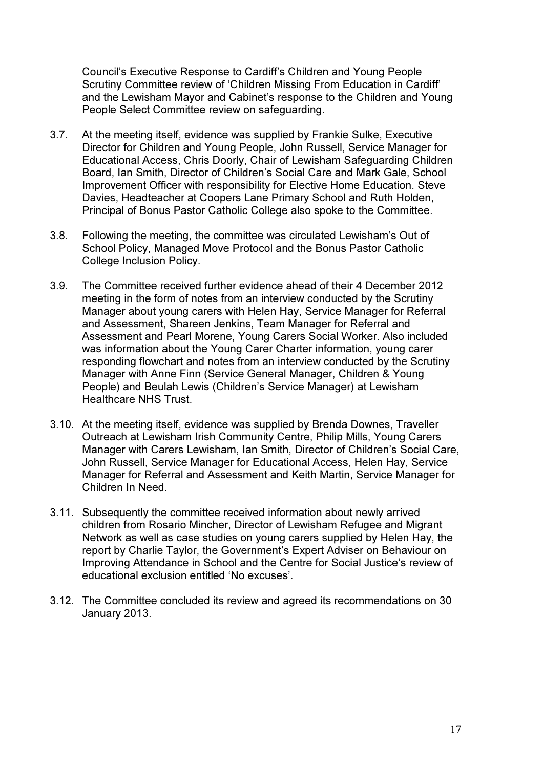Council's Executive Response to Cardiff's Children and Young People Scrutiny Committee review of 'Children Missing From Education in Cardiff' and the Lewisham Mayor and Cabinet's response to the Children and Young People Select Committee review on safeguarding.

- 3.7. At the meeting itself, evidence was supplied by Frankie Sulke, Executive Director for Children and Young People, John Russell, Service Manager for Educational Access, Chris Doorly, Chair of Lewisham Safeguarding Children Board, Ian Smith, Director of Children's Social Care and Mark Gale, School Improvement Officer with responsibility for Elective Home Education. Steve Davies, Headteacher at Coopers Lane Primary School and Ruth Holden, Principal of Bonus Pastor Catholic College also spoke to the Committee.
- 3.8. Following the meeting, the committee was circulated Lewisham's Out of School Policy, Managed Move Protocol and the Bonus Pastor Catholic College Inclusion Policy.
- 3.9. The Committee received further evidence ahead of their 4 December 2012 meeting in the form of notes from an interview conducted by the Scrutiny Manager about young carers with Helen Hay, Service Manager for Referral and Assessment, Shareen Jenkins, Team Manager for Referral and Assessment and Pearl Morene, Young Carers Social Worker. Also included was information about the Young Carer Charter information, young carer responding flowchart and notes from an interview conducted by the Scrutiny Manager with Anne Finn (Service General Manager, Children & Young People) and Beulah Lewis (Children's Service Manager) at Lewisham Healthcare NHS Trust.
- 3.10. At the meeting itself, evidence was supplied by Brenda Downes, Traveller Outreach at Lewisham Irish Community Centre, Philip Mills, Young Carers Manager with Carers Lewisham, Ian Smith, Director of Children's Social Care, John Russell, Service Manager for Educational Access, Helen Hay, Service Manager for Referral and Assessment and Keith Martin, Service Manager for Children In Need.
- 3.11. Subsequently the committee received information about newly arrived children from Rosario Mincher, Director of Lewisham Refugee and Migrant Network as well as case studies on young carers supplied by Helen Hay, the report by Charlie Taylor, the Government's Expert Adviser on Behaviour on Improving Attendance in School and the Centre for Social Justice's review of educational exclusion entitled 'No excuses'.
- 3.12. The Committee concluded its review and agreed its recommendations on 30 January 2013.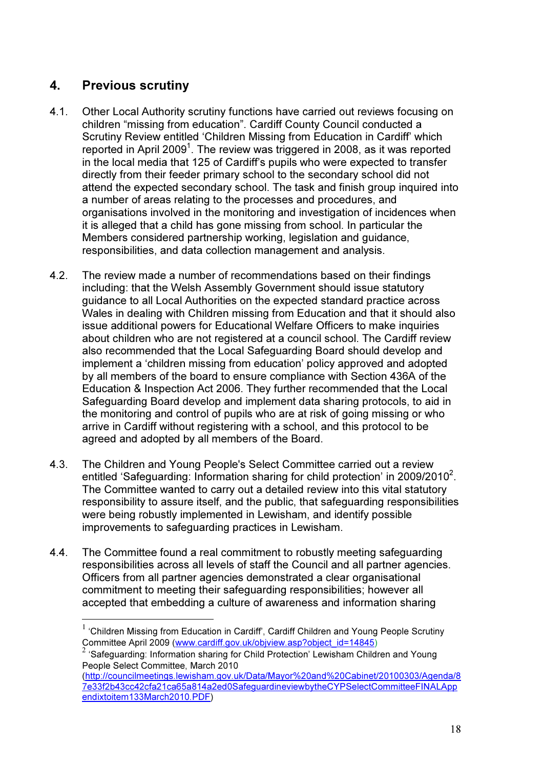# 4. Previous scrutiny

l.

- 4.1. Other Local Authority scrutiny functions have carried out reviews focusing on children "missing from education". Cardiff County Council conducted a Scrutiny Review entitled 'Children Missing from Education in Cardiff' which reported in April 2009<sup>1</sup>. The review was triggered in 2008, as it was reported in the local media that 125 of Cardiff's pupils who were expected to transfer directly from their feeder primary school to the secondary school did not attend the expected secondary school. The task and finish group inquired into a number of areas relating to the processes and procedures, and organisations involved in the monitoring and investigation of incidences when it is alleged that a child has gone missing from school. In particular the Members considered partnership working, legislation and guidance, responsibilities, and data collection management and analysis.
- 4.2. The review made a number of recommendations based on their findings including: that the Welsh Assembly Government should issue statutory guidance to all Local Authorities on the expected standard practice across Wales in dealing with Children missing from Education and that it should also issue additional powers for Educational Welfare Officers to make inquiries about children who are not registered at a council school. The Cardiff review also recommended that the Local Safeguarding Board should develop and implement a 'children missing from education' policy approved and adopted by all members of the board to ensure compliance with Section 436A of the Education & Inspection Act 2006. They further recommended that the Local Safeguarding Board develop and implement data sharing protocols, to aid in the monitoring and control of pupils who are at risk of going missing or who arrive in Cardiff without registering with a school, and this protocol to be agreed and adopted by all members of the Board.
- 4.3. The Children and Young People's Select Committee carried out a review entitled 'Safeguarding: Information sharing for child protection' in 2009/2010<sup>2</sup>. The Committee wanted to carry out a detailed review into this vital statutory responsibility to assure itself, and the public, that safeguarding responsibilities were being robustly implemented in Lewisham, and identify possible improvements to safeguarding practices in Lewisham.
- 4.4. The Committee found a real commitment to robustly meeting safeguarding responsibilities across all levels of staff the Council and all partner agencies. Officers from all partner agencies demonstrated a clear organisational commitment to meeting their safeguarding responsibilities; however all accepted that embedding a culture of awareness and information sharing

 $1$  'Children Missing from Education in Cardiff', Cardiff Children and Young People Scrutiny Committee April 2009 (<u>www.cardiff.gov.uk/objview.asp?object\_id=14845</u>)<br><sup>2</sup> 'Safeguarding: Information sharing for Child Protection' Lewisham Children and Young

People Select Committee, March 2010

<sup>(</sup>http://councilmeetings.lewisham.gov.uk/Data/Mayor%20and%20Cabinet/20100303/Agenda/8 7e33f2b43cc42cfa21ca65a814a2ed0SafeguardineviewbytheCYPSelectCommitteeFINALApp endixtoitem133March2010.PDF)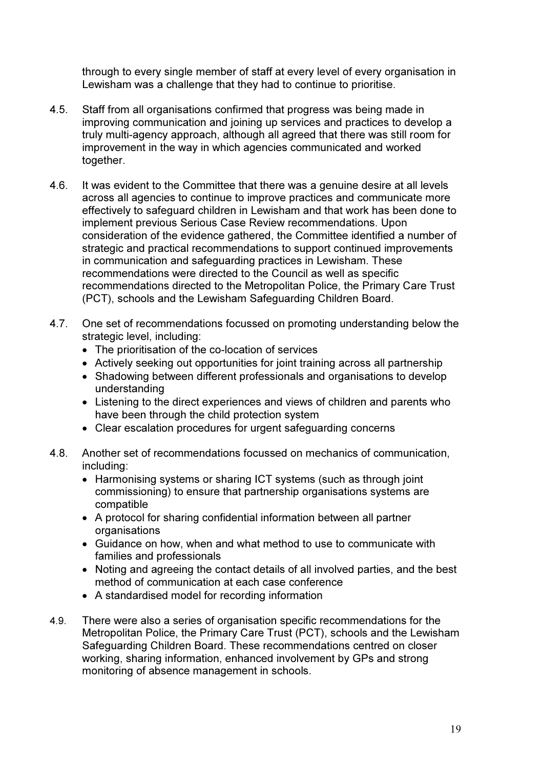through to every single member of staff at every level of every organisation in Lewisham was a challenge that they had to continue to prioritise.

- 4.5. Staff from all organisations confirmed that progress was being made in improving communication and joining up services and practices to develop a truly multi-agency approach, although all agreed that there was still room for improvement in the way in which agencies communicated and worked together.
- 4.6. It was evident to the Committee that there was a genuine desire at all levels across all agencies to continue to improve practices and communicate more effectively to safeguard children in Lewisham and that work has been done to implement previous Serious Case Review recommendations. Upon consideration of the evidence gathered, the Committee identified a number of strategic and practical recommendations to support continued improvements in communication and safeguarding practices in Lewisham. These recommendations were directed to the Council as well as specific recommendations directed to the Metropolitan Police, the Primary Care Trust (PCT), schools and the Lewisham Safeguarding Children Board.
- 4.7. One set of recommendations focussed on promoting understanding below the strategic level, including:
	- The prioritisation of the co-location of services
	- Actively seeking out opportunities for joint training across all partnership
	- Shadowing between different professionals and organisations to develop understanding
	- Listening to the direct experiences and views of children and parents who have been through the child protection system
	- Clear escalation procedures for urgent safeguarding concerns
- 4.8. Another set of recommendations focussed on mechanics of communication, including:
	- Harmonising systems or sharing ICT systems (such as through joint commissioning) to ensure that partnership organisations systems are compatible
	- A protocol for sharing confidential information between all partner organisations
	- Guidance on how, when and what method to use to communicate with families and professionals
	- Noting and agreeing the contact details of all involved parties, and the best method of communication at each case conference
	- A standardised model for recording information
- 4.9. There were also a series of organisation specific recommendations for the Metropolitan Police, the Primary Care Trust (PCT), schools and the Lewisham Safeguarding Children Board. These recommendations centred on closer working, sharing information, enhanced involvement by GPs and strong monitoring of absence management in schools.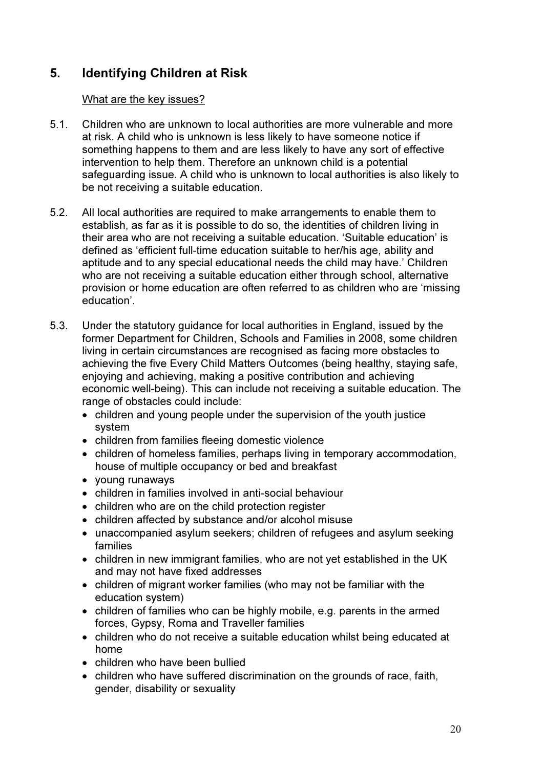# 5. Identifying Children at Risk

## What are the key issues?

- 5.1. Children who are unknown to local authorities are more vulnerable and more at risk. A child who is unknown is less likely to have someone notice if something happens to them and are less likely to have any sort of effective intervention to help them. Therefore an unknown child is a potential safeguarding issue. A child who is unknown to local authorities is also likely to be not receiving a suitable education.
- 5.2. All local authorities are required to make arrangements to enable them to establish, as far as it is possible to do so, the identities of children living in their area who are not receiving a suitable education. 'Suitable education' is defined as 'efficient full-time education suitable to her/his age, ability and aptitude and to any special educational needs the child may have.' Children who are not receiving a suitable education either through school, alternative provision or home education are often referred to as children who are 'missing education'.
- 5.3. Under the statutory guidance for local authorities in England, issued by the former Department for Children, Schools and Families in 2008, some children living in certain circumstances are recognised as facing more obstacles to achieving the five Every Child Matters Outcomes (being healthy, staying safe, enjoying and achieving, making a positive contribution and achieving economic well-being). This can include not receiving a suitable education. The range of obstacles could include:
	- children and young people under the supervision of the youth justice system
	- children from families fleeing domestic violence
	- children of homeless families, perhaps living in temporary accommodation, house of multiple occupancy or bed and breakfast
	- young runaways
	- children in families involved in anti-social behaviour
	- children who are on the child protection register
	- children affected by substance and/or alcohol misuse
	- unaccompanied asylum seekers; children of refugees and asylum seeking families
	- children in new immigrant families, who are not yet established in the UK and may not have fixed addresses
	- children of migrant worker families (who may not be familiar with the education system)
	- children of families who can be highly mobile, e.g. parents in the armed forces, Gypsy, Roma and Traveller families
	- children who do not receive a suitable education whilst being educated at home
	- children who have been bullied
	- children who have suffered discrimination on the grounds of race, faith, gender, disability or sexuality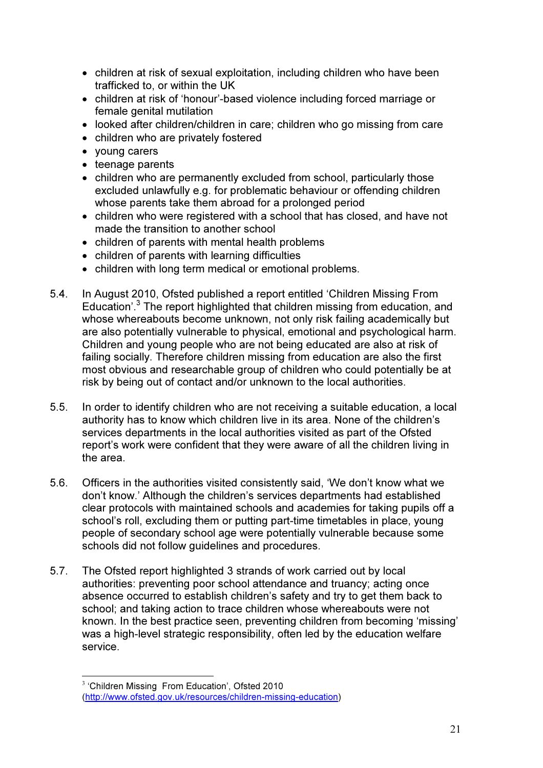- children at risk of sexual exploitation, including children who have been trafficked to, or within the UK
- children at risk of 'honour'-based violence including forced marriage or female genital mutilation
- looked after children/children in care; children who go missing from care
- children who are privately fostered
- young carers
- teenage parents
- children who are permanently excluded from school, particularly those excluded unlawfully e.g. for problematic behaviour or offending children whose parents take them abroad for a prolonged period
- children who were registered with a school that has closed, and have not made the transition to another school
- children of parents with mental health problems
- children of parents with learning difficulties
- children with long term medical or emotional problems.
- 5.4. In August 2010, Ofsted published a report entitled 'Children Missing From Education'.<sup>3</sup> The report highlighted that children missing from education, and whose whereabouts become unknown, not only risk failing academically but are also potentially vulnerable to physical, emotional and psychological harm. Children and young people who are not being educated are also at risk of failing socially. Therefore children missing from education are also the first most obvious and researchable group of children who could potentially be at risk by being out of contact and/or unknown to the local authorities.
- 5.5. In order to identify children who are not receiving a suitable education, a local authority has to know which children live in its area. None of the children's services departments in the local authorities visited as part of the Ofsted report's work were confident that they were aware of all the children living in the area.
- 5.6. Officers in the authorities visited consistently said, 'We don't know what we don't know.' Although the children's services departments had established clear protocols with maintained schools and academies for taking pupils off a school's roll, excluding them or putting part-time timetables in place, young people of secondary school age were potentially vulnerable because some schools did not follow guidelines and procedures.
- 5.7. The Ofsted report highlighted 3 strands of work carried out by local authorities: preventing poor school attendance and truancy; acting once absence occurred to establish children's safety and try to get them back to school; and taking action to trace children whose whereabouts were not known. In the best practice seen, preventing children from becoming 'missing' was a high-level strategic responsibility, often led by the education welfare service.

 $\overline{a}$ 

<sup>&</sup>lt;sup>3</sup> 'Children Missing From Education', Ofsted 2010 (http://www.ofsted.gov.uk/resources/children-missing-education)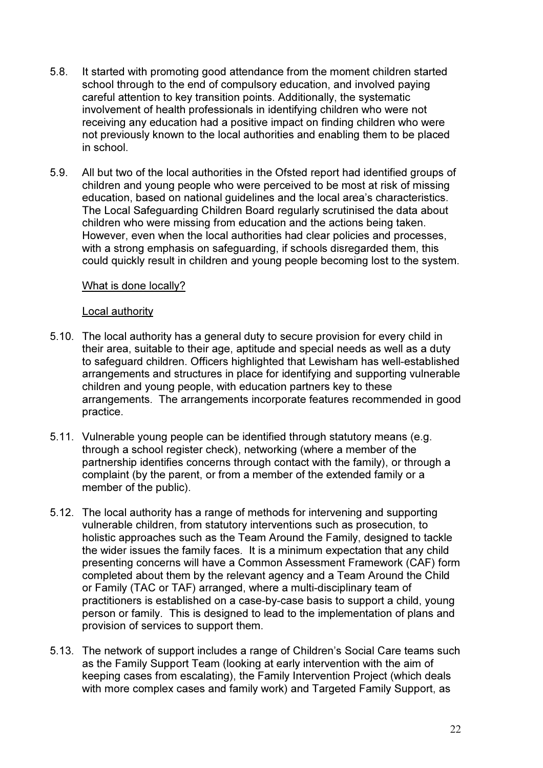- 5.8. It started with promoting good attendance from the moment children started school through to the end of compulsory education, and involved paying careful attention to key transition points. Additionally, the systematic involvement of health professionals in identifying children who were not receiving any education had a positive impact on finding children who were not previously known to the local authorities and enabling them to be placed in school.
- 5.9. All but two of the local authorities in the Ofsted report had identified groups of children and young people who were perceived to be most at risk of missing education, based on national guidelines and the local area's characteristics. The Local Safeguarding Children Board regularly scrutinised the data about children who were missing from education and the actions being taken. However, even when the local authorities had clear policies and processes, with a strong emphasis on safeguarding, if schools disregarded them, this could quickly result in children and young people becoming lost to the system.

## What is done locally?

#### Local authority

- 5.10. The local authority has a general duty to secure provision for every child in their area, suitable to their age, aptitude and special needs as well as a duty to safeguard children. Officers highlighted that Lewisham has well-established arrangements and structures in place for identifying and supporting vulnerable children and young people, with education partners key to these arrangements. The arrangements incorporate features recommended in good practice.
- 5.11. Vulnerable young people can be identified through statutory means (e.g. through a school register check), networking (where a member of the partnership identifies concerns through contact with the family), or through a complaint (by the parent, or from a member of the extended family or a member of the public).
- 5.12. The local authority has a range of methods for intervening and supporting vulnerable children, from statutory interventions such as prosecution, to holistic approaches such as the Team Around the Family, designed to tackle the wider issues the family faces. It is a minimum expectation that any child presenting concerns will have a Common Assessment Framework (CAF) form completed about them by the relevant agency and a Team Around the Child or Family (TAC or TAF) arranged, where a multi-disciplinary team of practitioners is established on a case-by-case basis to support a child, young person or family. This is designed to lead to the implementation of plans and provision of services to support them.
- 5.13. The network of support includes a range of Children's Social Care teams such as the Family Support Team (looking at early intervention with the aim of keeping cases from escalating), the Family Intervention Project (which deals with more complex cases and family work) and Targeted Family Support, as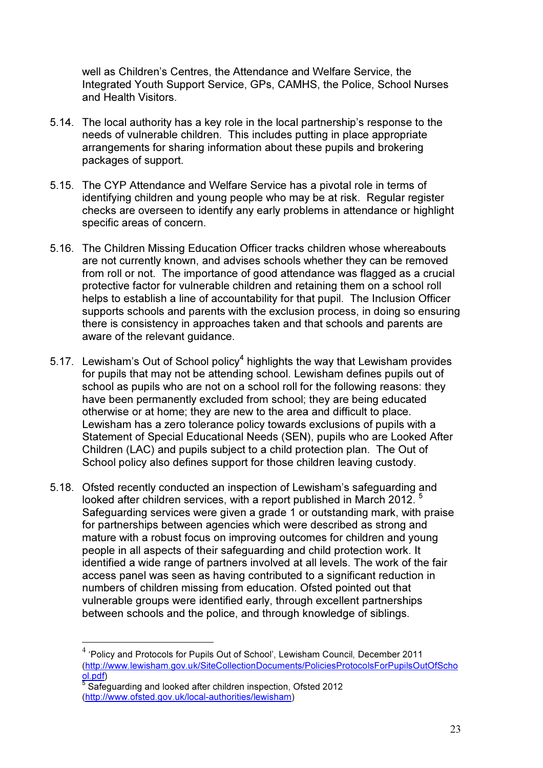well as Children's Centres, the Attendance and Welfare Service, the Integrated Youth Support Service, GPs, CAMHS, the Police, School Nurses and Health Visitors.

- 5.14. The local authority has a key role in the local partnership's response to the needs of vulnerable children. This includes putting in place appropriate arrangements for sharing information about these pupils and brokering packages of support.
- 5.15. The CYP Attendance and Welfare Service has a pivotal role in terms of identifying children and young people who may be at risk. Regular register checks are overseen to identify any early problems in attendance or highlight specific areas of concern.
- 5.16. The Children Missing Education Officer tracks children whose whereabouts are not currently known, and advises schools whether they can be removed from roll or not. The importance of good attendance was flagged as a crucial protective factor for vulnerable children and retaining them on a school roll helps to establish a line of accountability for that pupil. The Inclusion Officer supports schools and parents with the exclusion process, in doing so ensuring there is consistency in approaches taken and that schools and parents are aware of the relevant quidance.
- 5.17. Lewisham's Out of School policy<sup>4</sup> highlights the way that Lewisham provides for pupils that may not be attending school. Lewisham defines pupils out of school as pupils who are not on a school roll for the following reasons: they have been permanently excluded from school; they are being educated otherwise or at home; they are new to the area and difficult to place. Lewisham has a zero tolerance policy towards exclusions of pupils with a Statement of Special Educational Needs (SEN), pupils who are Looked After Children (LAC) and pupils subject to a child protection plan. The Out of School policy also defines support for those children leaving custody.
- 5.18. Ofsted recently conducted an inspection of Lewisham's safeguarding and looked after children services, with a report published in March 2012. Safeguarding services were given a grade 1 or outstanding mark, with praise for partnerships between agencies which were described as strong and mature with a robust focus on improving outcomes for children and young people in all aspects of their safeguarding and child protection work. It identified a wide range of partners involved at all levels. The work of the fair access panel was seen as having contributed to a significant reduction in numbers of children missing from education. Ofsted pointed out that vulnerable groups were identified early, through excellent partnerships between schools and the police, and through knowledge of siblings.

 $\overline{a}$ 

<sup>&</sup>lt;sup>4</sup> 'Policy and Protocols for Pupils Out of School', Lewisham Council, December 2011 (http://www.lewisham.gov.uk/SiteCollectionDocuments/PoliciesProtocolsForPupilsOutOfScho <mark>ol.pdf</mark>)<br><sup>5</sup> Safeguarding and looked after children inspection, Ofsted 2012

<sup>(</sup>http://www.ofsted.gov.uk/local-authorities/lewisham)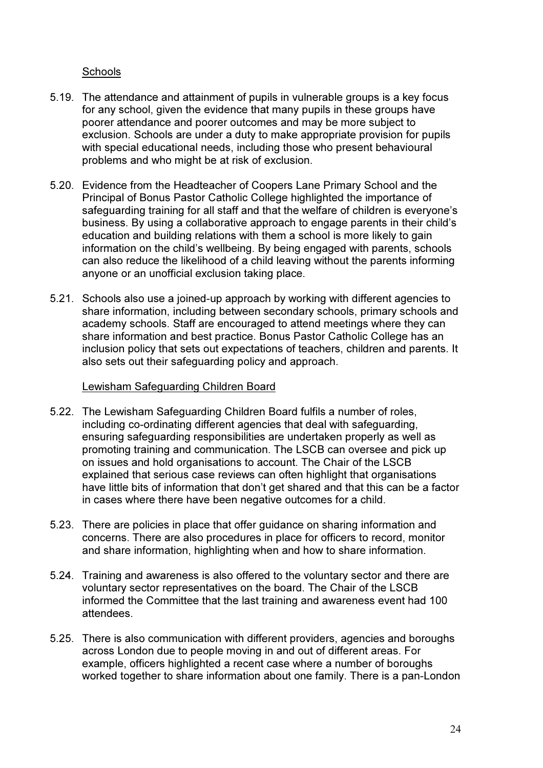## **Schools**

- 5.19. The attendance and attainment of pupils in vulnerable groups is a key focus for any school, given the evidence that many pupils in these groups have poorer attendance and poorer outcomes and may be more subject to exclusion. Schools are under a duty to make appropriate provision for pupils with special educational needs, including those who present behavioural problems and who might be at risk of exclusion.
- 5.20. Evidence from the Headteacher of Coopers Lane Primary School and the Principal of Bonus Pastor Catholic College highlighted the importance of safeguarding training for all staff and that the welfare of children is everyone's business. By using a collaborative approach to engage parents in their child's education and building relations with them a school is more likely to gain information on the child's wellbeing. By being engaged with parents, schools can also reduce the likelihood of a child leaving without the parents informing anyone or an unofficial exclusion taking place.
- 5.21. Schools also use a joined-up approach by working with different agencies to share information, including between secondary schools, primary schools and academy schools. Staff are encouraged to attend meetings where they can share information and best practice. Bonus Pastor Catholic College has an inclusion policy that sets out expectations of teachers, children and parents. It also sets out their safeguarding policy and approach.

## Lewisham Safeguarding Children Board

- 5.22. The Lewisham Safeguarding Children Board fulfils a number of roles, including co-ordinating different agencies that deal with safeguarding, ensuring safeguarding responsibilities are undertaken properly as well as promoting training and communication. The LSCB can oversee and pick up on issues and hold organisations to account. The Chair of the LSCB explained that serious case reviews can often highlight that organisations have little bits of information that don't get shared and that this can be a factor in cases where there have been negative outcomes for a child.
- 5.23. There are policies in place that offer guidance on sharing information and concerns. There are also procedures in place for officers to record, monitor and share information, highlighting when and how to share information.
- 5.24. Training and awareness is also offered to the voluntary sector and there are voluntary sector representatives on the board. The Chair of the LSCB informed the Committee that the last training and awareness event had 100 attendees.
- 5.25. There is also communication with different providers, agencies and boroughs across London due to people moving in and out of different areas. For example, officers highlighted a recent case where a number of boroughs worked together to share information about one family. There is a pan-London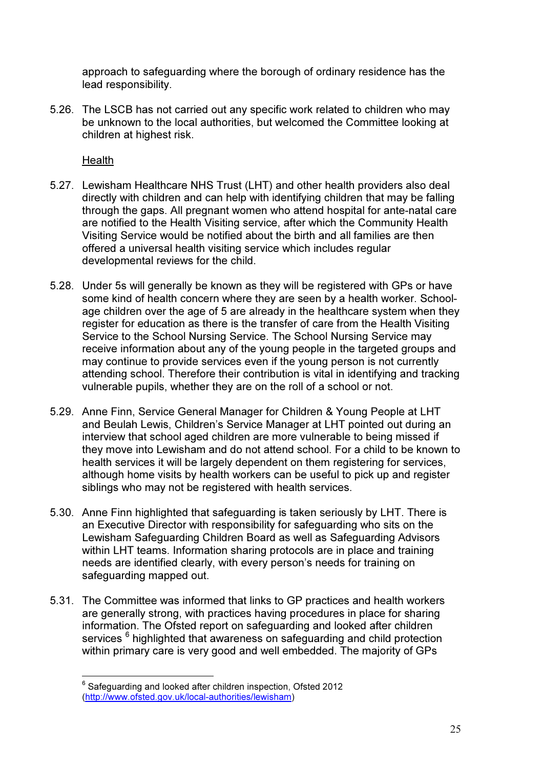approach to safeguarding where the borough of ordinary residence has the lead responsibility.

5.26. The LSCB has not carried out any specific work related to children who may be unknown to the local authorities, but welcomed the Committee looking at children at highest risk.

Health

 $\overline{a}$ 

- 5.27. Lewisham Healthcare NHS Trust (LHT) and other health providers also deal directly with children and can help with identifying children that may be falling through the gaps. All pregnant women who attend hospital for ante-natal care are notified to the Health Visiting service, after which the Community Health Visiting Service would be notified about the birth and all families are then offered a universal health visiting service which includes regular developmental reviews for the child.
- 5.28. Under 5s will generally be known as they will be registered with GPs or have some kind of health concern where they are seen by a health worker. Schoolage children over the age of 5 are already in the healthcare system when they register for education as there is the transfer of care from the Health Visiting Service to the School Nursing Service. The School Nursing Service may receive information about any of the young people in the targeted groups and may continue to provide services even if the young person is not currently attending school. Therefore their contribution is vital in identifying and tracking vulnerable pupils, whether they are on the roll of a school or not.
- 5.29. Anne Finn, Service General Manager for Children & Young People at LHT and Beulah Lewis, Children's Service Manager at LHT pointed out during an interview that school aged children are more vulnerable to being missed if they move into Lewisham and do not attend school. For a child to be known to health services it will be largely dependent on them registering for services, although home visits by health workers can be useful to pick up and register siblings who may not be registered with health services.
- 5.30. Anne Finn highlighted that safeguarding is taken seriously by LHT. There is an Executive Director with responsibility for safeguarding who sits on the Lewisham Safeguarding Children Board as well as Safeguarding Advisors within LHT teams. Information sharing protocols are in place and training needs are identified clearly, with every person's needs for training on safeguarding mapped out.
- 5.31. The Committee was informed that links to GP practices and health workers are generally strong, with practices having procedures in place for sharing information. The Ofsted report on safeguarding and looked after children services <sup>6</sup> highlighted that awareness on safeguarding and child protection within primary care is very good and well embedded. The majority of GPs

 $^6$  Safeguarding and looked after children inspection, Ofsted 2012 (http://www.ofsted.gov.uk/local-authorities/lewisham)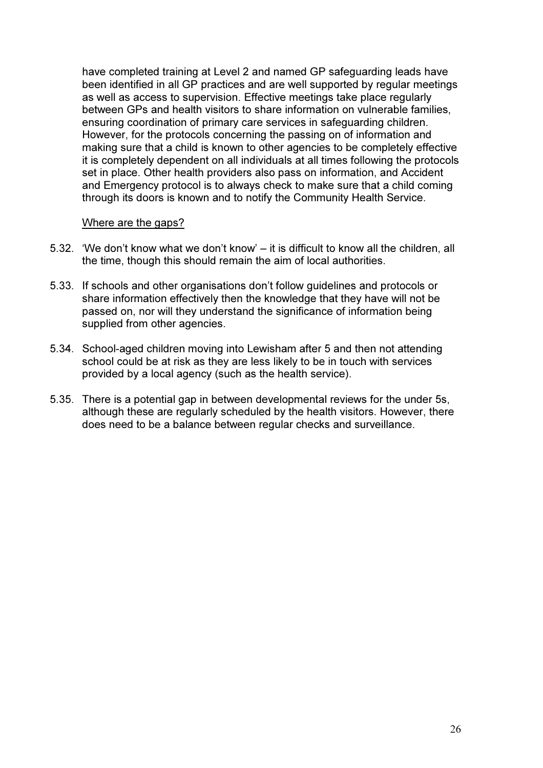have completed training at Level 2 and named GP safeguarding leads have been identified in all GP practices and are well supported by regular meetings as well as access to supervision. Effective meetings take place regularly between GPs and health visitors to share information on vulnerable families, ensuring coordination of primary care services in safeguarding children. However, for the protocols concerning the passing on of information and making sure that a child is known to other agencies to be completely effective it is completely dependent on all individuals at all times following the protocols set in place. Other health providers also pass on information, and Accident and Emergency protocol is to always check to make sure that a child coming through its doors is known and to notify the Community Health Service.

#### Where are the gaps?

- 5.32. 'We don't know what we don't know' it is difficult to know all the children, all the time, though this should remain the aim of local authorities.
- 5.33. If schools and other organisations don't follow guidelines and protocols or share information effectively then the knowledge that they have will not be passed on, nor will they understand the significance of information being supplied from other agencies.
- 5.34. School-aged children moving into Lewisham after 5 and then not attending school could be at risk as they are less likely to be in touch with services provided by a local agency (such as the health service).
- 5.35. There is a potential gap in between developmental reviews for the under 5s, although these are regularly scheduled by the health visitors. However, there does need to be a balance between regular checks and surveillance.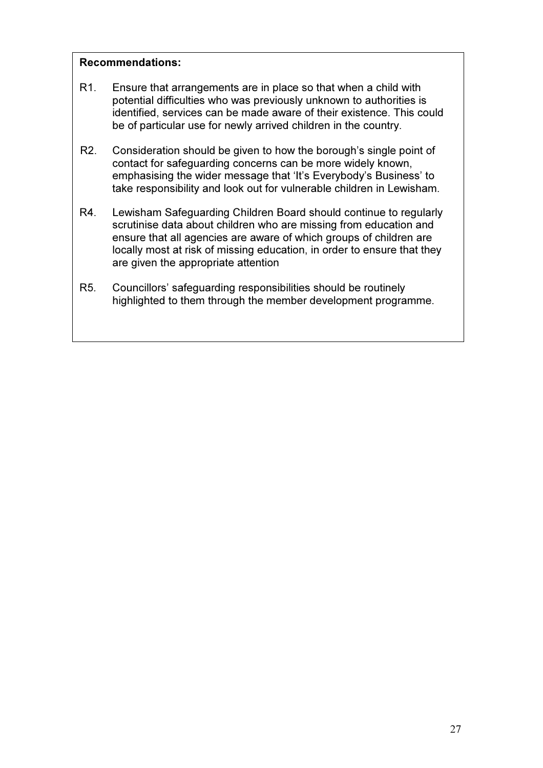## Recommendations:

- R1. Ensure that arrangements are in place so that when a child with potential difficulties who was previously unknown to authorities is identified, services can be made aware of their existence. This could be of particular use for newly arrived children in the country.
- R2. Consideration should be given to how the borough's single point of contact for safeguarding concerns can be more widely known, emphasising the wider message that 'It's Everybody's Business' to take responsibility and look out for vulnerable children in Lewisham.
- R4. Lewisham Safeguarding Children Board should continue to regularly scrutinise data about children who are missing from education and ensure that all agencies are aware of which groups of children are locally most at risk of missing education, in order to ensure that they are given the appropriate attention
- R5. Councillors' safeguarding responsibilities should be routinely highlighted to them through the member development programme.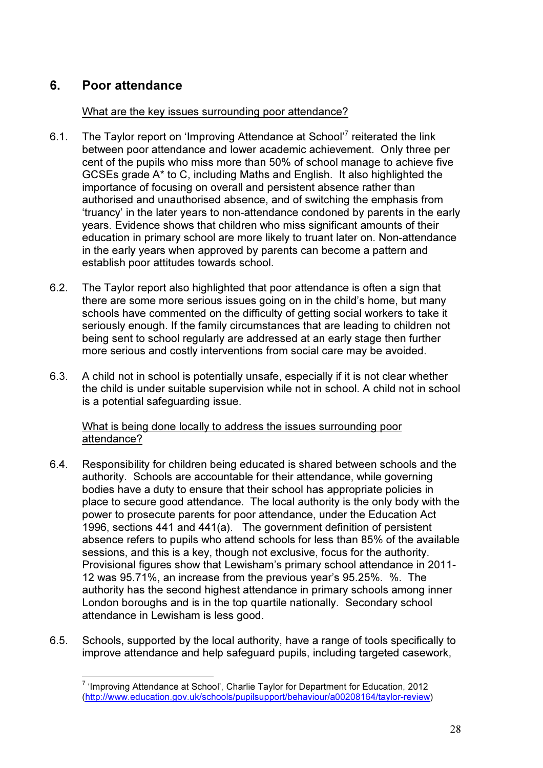# 6. Poor attendance

 $\overline{a}$ 

## What are the key issues surrounding poor attendance?

- 6.1. The Taylor report on 'Improving Attendance at School'<sup>7</sup> reiterated the link between poor attendance and lower academic achievement. Only three per cent of the pupils who miss more than 50% of school manage to achieve five GCSEs grade A\* to C, including Maths and English. It also highlighted the importance of focusing on overall and persistent absence rather than authorised and unauthorised absence, and of switching the emphasis from 'truancy' in the later years to non-attendance condoned by parents in the early years. Evidence shows that children who miss significant amounts of their education in primary school are more likely to truant later on. Non-attendance in the early years when approved by parents can become a pattern and establish poor attitudes towards school.
- 6.2. The Taylor report also highlighted that poor attendance is often a sign that there are some more serious issues going on in the child's home, but many schools have commented on the difficulty of getting social workers to take it seriously enough. If the family circumstances that are leading to children not being sent to school regularly are addressed at an early stage then further more serious and costly interventions from social care may be avoided.
- 6.3. A child not in school is potentially unsafe, especially if it is not clear whether the child is under suitable supervision while not in school. A child not in school is a potential safeguarding issue.

What is being done locally to address the issues surrounding poor attendance?

- 6.4. Responsibility for children being educated is shared between schools and the authority. Schools are accountable for their attendance, while governing bodies have a duty to ensure that their school has appropriate policies in place to secure good attendance. The local authority is the only body with the power to prosecute parents for poor attendance, under the Education Act 1996, sections 441 and 441(a). The government definition of persistent absence refers to pupils who attend schools for less than 85% of the available sessions, and this is a key, though not exclusive, focus for the authority. Provisional figures show that Lewisham's primary school attendance in 2011- 12 was 95.71%, an increase from the previous year's 95.25%. %. The authority has the second highest attendance in primary schools among inner London boroughs and is in the top quartile nationally. Secondary school attendance in Lewisham is less good.
- 6.5. Schools, supported by the local authority, have a range of tools specifically to improve attendance and help safeguard pupils, including targeted casework,

<sup>&</sup>lt;sup>7</sup> 'Improving Attendance at School', Charlie Taylor for Department for Education, 2012 (http://www.education.gov.uk/schools/pupilsupport/behaviour/a00208164/taylor-review)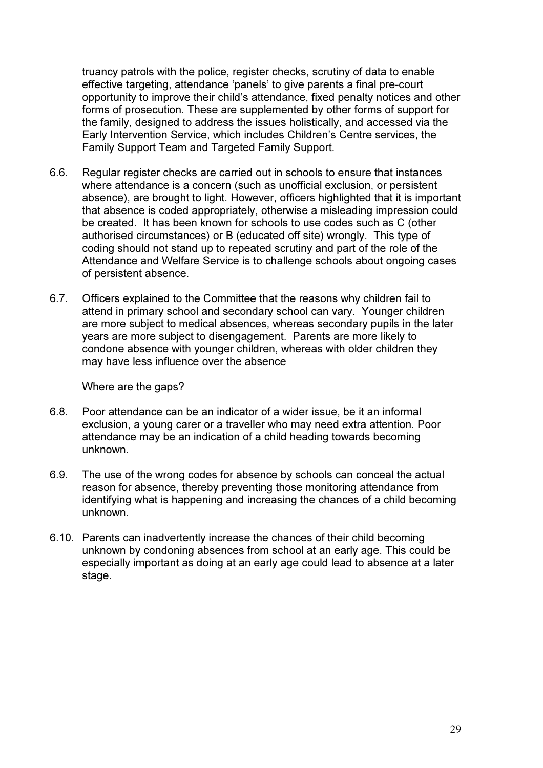truancy patrols with the police, register checks, scrutiny of data to enable effective targeting, attendance 'panels' to give parents a final pre-court opportunity to improve their child's attendance, fixed penalty notices and other forms of prosecution. These are supplemented by other forms of support for the family, designed to address the issues holistically, and accessed via the Early Intervention Service, which includes Children's Centre services, the Family Support Team and Targeted Family Support.

- 6.6. Regular register checks are carried out in schools to ensure that instances where attendance is a concern (such as unofficial exclusion, or persistent absence), are brought to light. However, officers highlighted that it is important that absence is coded appropriately, otherwise a misleading impression could be created. It has been known for schools to use codes such as C (other authorised circumstances) or B (educated off site) wrongly. This type of coding should not stand up to repeated scrutiny and part of the role of the Attendance and Welfare Service is to challenge schools about ongoing cases of persistent absence.
- 6.7. Officers explained to the Committee that the reasons why children fail to attend in primary school and secondary school can vary. Younger children are more subject to medical absences, whereas secondary pupils in the later years are more subject to disengagement. Parents are more likely to condone absence with younger children, whereas with older children they may have less influence over the absence

#### Where are the gaps?

- 6.8. Poor attendance can be an indicator of a wider issue, be it an informal exclusion, a young carer or a traveller who may need extra attention. Poor attendance may be an indication of a child heading towards becoming unknown.
- 6.9. The use of the wrong codes for absence by schools can conceal the actual reason for absence, thereby preventing those monitoring attendance from identifying what is happening and increasing the chances of a child becoming unknown.
- 6.10. Parents can inadvertently increase the chances of their child becoming unknown by condoning absences from school at an early age. This could be especially important as doing at an early age could lead to absence at a later stage.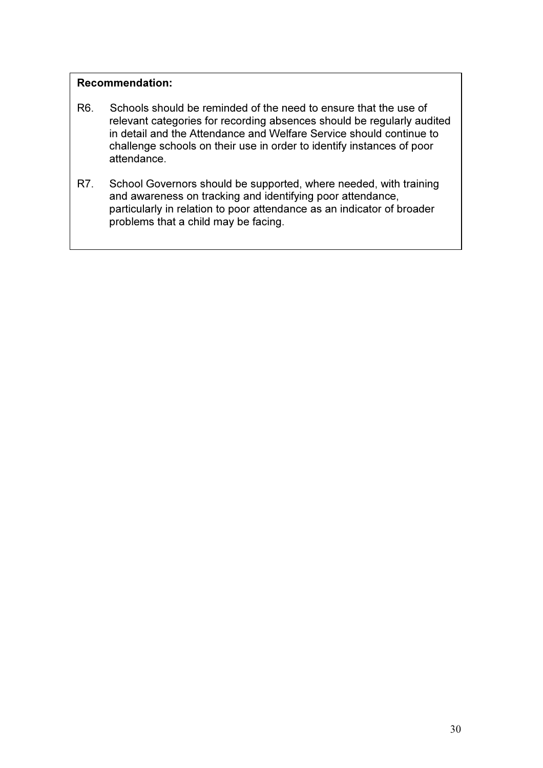## Recommendation:

- R6. Schools should be reminded of the need to ensure that the use of relevant categories for recording absences should be regularly audited in detail and the Attendance and Welfare Service should continue to challenge schools on their use in order to identify instances of poor attendance.
- R7. School Governors should be supported, where needed, with training and awareness on tracking and identifying poor attendance, particularly in relation to poor attendance as an indicator of broader problems that a child may be facing.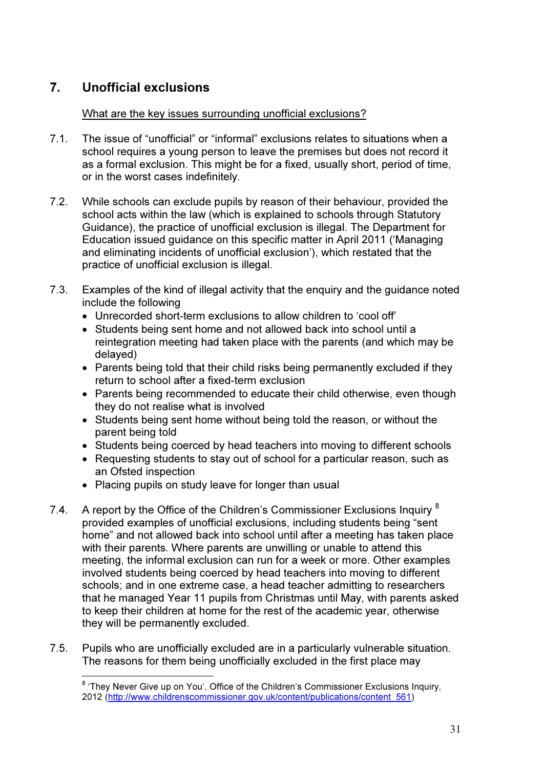# 7. Unofficial exclusions

 $\overline{a}$ 

## What are the key issues surrounding unofficial exclusions?

- 7.1. The issue of "unofficial" or "informal" exclusions relates to situations when a school requires a young person to leave the premises but does not record it as a formal exclusion. This might be for a fixed, usually short, period of time, or in the worst cases indefinitely.
- 7.2. While schools can exclude pupils by reason of their behaviour, provided the school acts within the law (which is explained to schools through Statutory Guidance), the practice of unofficial exclusion is illegal. The Department for Education issued guidance on this specific matter in April 2011 ('Managing and eliminating incidents of unofficial exclusion'), which restated that the practice of unofficial exclusion is illegal.
- 7.3. Examples of the kind of illegal activity that the enquiry and the guidance noted include the following
	- Unrecorded short-term exclusions to allow children to 'cool off'
	- Students being sent home and not allowed back into school until a reintegration meeting had taken place with the parents (and which may be delayed)
	- Parents being told that their child risks being permanently excluded if they return to school after a fixed-term exclusion
	- Parents being recommended to educate their child otherwise, even though they do not realise what is involved
	- Students being sent home without being told the reason, or without the parent being told
	- Students being coerced by head teachers into moving to different schools
	- Requesting students to stay out of school for a particular reason, such as an Ofsted inspection
	- Placing pupils on study leave for longer than usual
- 7.4. A report by the Office of the Children's Commissioner Exclusions Inquiry  $8$ provided examples of unofficial exclusions, including students being "sent home" and not allowed back into school until after a meeting has taken place with their parents. Where parents are unwilling or unable to attend this meeting, the informal exclusion can run for a week or more. Other examples involved students being coerced by head teachers into moving to different schools; and in one extreme case, a head teacher admitting to researchers that he managed Year 11 pupils from Christmas until May, with parents asked to keep their children at home for the rest of the academic year, otherwise they will be permanently excluded.
- 7.5. Pupils who are unofficially excluded are in a particularly vulnerable situation. The reasons for them being unofficially excluded in the first place may

<sup>&</sup>lt;sup>8</sup> 'They Never Give up on You', Office of the Children's Commissioner Exclusions Inquiry, 2012 (http://www.childrenscommissioner.gov.uk/content/publications/content\_561)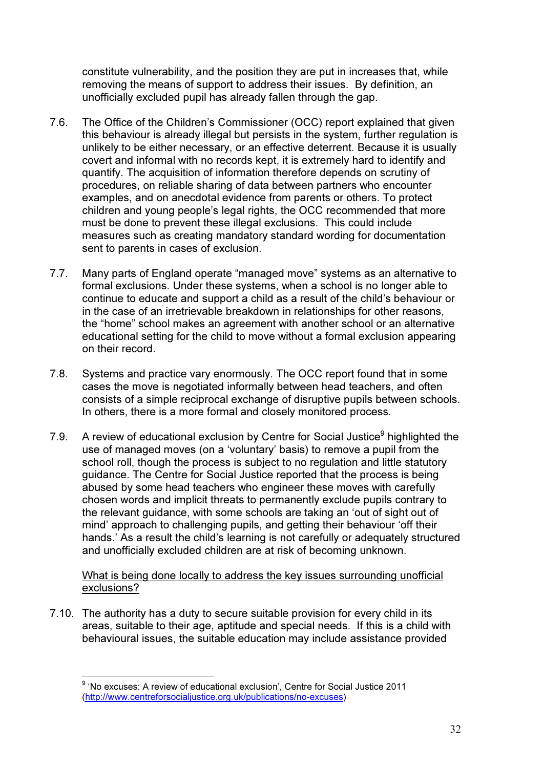constitute vulnerability, and the position they are put in increases that, while removing the means of support to address their issues. By definition, an unofficially excluded pupil has already fallen through the gap.

- 7.6. The Office of the Children's Commissioner (OCC) report explained that given this behaviour is already illegal but persists in the system, further regulation is unlikely to be either necessary, or an effective deterrent. Because it is usually covert and informal with no records kept, it is extremely hard to identify and quantify. The acquisition of information therefore depends on scrutiny of procedures, on reliable sharing of data between partners who encounter examples, and on anecdotal evidence from parents or others. To protect children and young people's legal rights, the OCC recommended that more must be done to prevent these illegal exclusions. This could include measures such as creating mandatory standard wording for documentation sent to parents in cases of exclusion.
- 7.7. Many parts of England operate "managed move" systems as an alternative to formal exclusions. Under these systems, when a school is no longer able to continue to educate and support a child as a result of the child's behaviour or in the case of an irretrievable breakdown in relationships for other reasons, the "home" school makes an agreement with another school or an alternative educational setting for the child to move without a formal exclusion appearing on their record.
- 7.8. Systems and practice vary enormously. The OCC report found that in some cases the move is negotiated informally between head teachers, and often consists of a simple reciprocal exchange of disruptive pupils between schools. In others, there is a more formal and closely monitored process.
- 7.9. A review of educational exclusion by Centre for Social Justice<sup>9</sup> highlighted the use of managed moves (on a 'voluntary' basis) to remove a pupil from the school roll, though the process is subject to no regulation and little statutory guidance. The Centre for Social Justice reported that the process is being abused by some head teachers who engineer these moves with carefully chosen words and implicit threats to permanently exclude pupils contrary to the relevant guidance, with some schools are taking an 'out of sight out of mind' approach to challenging pupils, and getting their behaviour 'off their hands.' As a result the child's learning is not carefully or adequately structured and unofficially excluded children are at risk of becoming unknown.

What is being done locally to address the key issues surrounding unofficial exclusions?

7.10. The authority has a duty to secure suitable provision for every child in its areas, suitable to their age, aptitude and special needs. If this is a child with behavioural issues, the suitable education may include assistance provided

 $\overline{a}$ 

<sup>&</sup>lt;sup>9</sup> 'No excuses: A review of educational exclusion', Centre for Social Justice 2011 (http://www.centreforsocialjustice.org.uk/publications/no-excuses)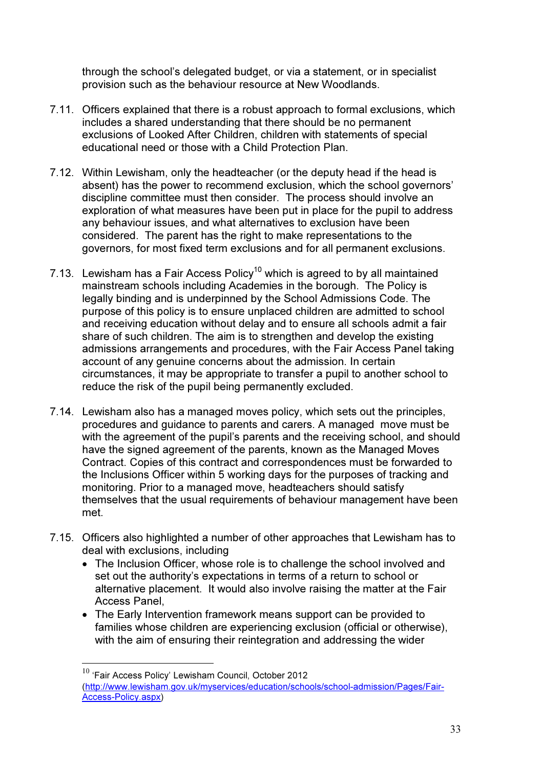through the school's delegated budget, or via a statement, or in specialist provision such as the behaviour resource at New Woodlands.

- 7.11. Officers explained that there is a robust approach to formal exclusions, which includes a shared understanding that there should be no permanent exclusions of Looked After Children, children with statements of special educational need or those with a Child Protection Plan.
- 7.12. Within Lewisham, only the headteacher (or the deputy head if the head is absent) has the power to recommend exclusion, which the school governors' discipline committee must then consider. The process should involve an exploration of what measures have been put in place for the pupil to address any behaviour issues, and what alternatives to exclusion have been considered. The parent has the right to make representations to the governors, for most fixed term exclusions and for all permanent exclusions.
- 7.13. Lewisham has a Fair Access Policy<sup>10</sup> which is agreed to by all maintained mainstream schools including Academies in the borough. The Policy is legally binding and is underpinned by the School Admissions Code. The purpose of this policy is to ensure unplaced children are admitted to school and receiving education without delay and to ensure all schools admit a fair share of such children. The aim is to strengthen and develop the existing admissions arrangements and procedures, with the Fair Access Panel taking account of any genuine concerns about the admission. In certain circumstances, it may be appropriate to transfer a pupil to another school to reduce the risk of the pupil being permanently excluded.
- 7.14. Lewisham also has a managed moves policy, which sets out the principles, procedures and guidance to parents and carers. A managed move must be with the agreement of the pupil's parents and the receiving school, and should have the signed agreement of the parents, known as the Managed Moves Contract. Copies of this contract and correspondences must be forwarded to the Inclusions Officer within 5 working days for the purposes of tracking and monitoring. Prior to a managed move, headteachers should satisfy themselves that the usual requirements of behaviour management have been met.
- 7.15. Officers also highlighted a number of other approaches that Lewisham has to deal with exclusions, including
	- The Inclusion Officer, whose role is to challenge the school involved and set out the authority's expectations in terms of a return to school or alternative placement. It would also involve raising the matter at the Fair Access Panel,
	- The Early Intervention framework means support can be provided to families whose children are experiencing exclusion (official or otherwise), with the aim of ensuring their reintegration and addressing the wider

 $\overline{a}$ 

 $10$  'Fair Access Policy' Lewisham Council, October 2012 (http://www.lewisham.gov.uk/myservices/education/schools/school-admission/Pages/Fair-Access-Policy.aspx)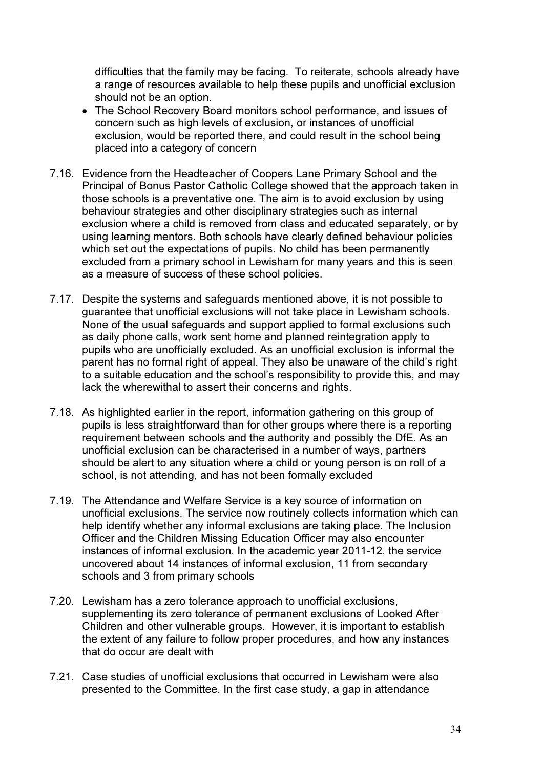difficulties that the family may be facing. To reiterate, schools already have a range of resources available to help these pupils and unofficial exclusion should not be an option.

- The School Recovery Board monitors school performance, and issues of concern such as high levels of exclusion, or instances of unofficial exclusion, would be reported there, and could result in the school being placed into a category of concern
- 7.16. Evidence from the Headteacher of Coopers Lane Primary School and the Principal of Bonus Pastor Catholic College showed that the approach taken in those schools is a preventative one. The aim is to avoid exclusion by using behaviour strategies and other disciplinary strategies such as internal exclusion where a child is removed from class and educated separately, or by using learning mentors. Both schools have clearly defined behaviour policies which set out the expectations of pupils. No child has been permanently excluded from a primary school in Lewisham for many years and this is seen as a measure of success of these school policies.
- 7.17. Despite the systems and safeguards mentioned above, it is not possible to guarantee that unofficial exclusions will not take place in Lewisham schools. None of the usual safeguards and support applied to formal exclusions such as daily phone calls, work sent home and planned reintegration apply to pupils who are unofficially excluded. As an unofficial exclusion is informal the parent has no formal right of appeal. They also be unaware of the child's right to a suitable education and the school's responsibility to provide this, and may lack the wherewithal to assert their concerns and rights.
- 7.18. As highlighted earlier in the report, information gathering on this group of pupils is less straightforward than for other groups where there is a reporting requirement between schools and the authority and possibly the DfE. As an unofficial exclusion can be characterised in a number of ways, partners should be alert to any situation where a child or young person is on roll of a school, is not attending, and has not been formally excluded
- 7.19. The Attendance and Welfare Service is a key source of information on unofficial exclusions. The service now routinely collects information which can help identify whether any informal exclusions are taking place. The Inclusion Officer and the Children Missing Education Officer may also encounter instances of informal exclusion. In the academic year 2011-12, the service uncovered about 14 instances of informal exclusion, 11 from secondary schools and 3 from primary schools
- 7.20. Lewisham has a zero tolerance approach to unofficial exclusions, supplementing its zero tolerance of permanent exclusions of Looked After Children and other vulnerable groups. However, it is important to establish the extent of any failure to follow proper procedures, and how any instances that do occur are dealt with
- 7.21. Case studies of unofficial exclusions that occurred in Lewisham were also presented to the Committee. In the first case study, a gap in attendance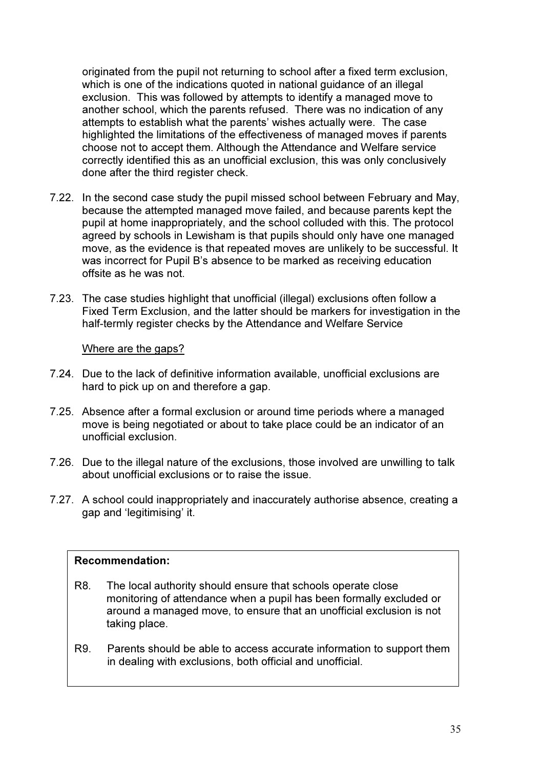originated from the pupil not returning to school after a fixed term exclusion, which is one of the indications quoted in national guidance of an illegal exclusion. This was followed by attempts to identify a managed move to another school, which the parents refused. There was no indication of any attempts to establish what the parents' wishes actually were. The case highlighted the limitations of the effectiveness of managed moves if parents choose not to accept them. Although the Attendance and Welfare service correctly identified this as an unofficial exclusion, this was only conclusively done after the third register check.

- 7.22. In the second case study the pupil missed school between February and May, because the attempted managed move failed, and because parents kept the pupil at home inappropriately, and the school colluded with this. The protocol agreed by schools in Lewisham is that pupils should only have one managed move, as the evidence is that repeated moves are unlikely to be successful. It was incorrect for Pupil B's absence to be marked as receiving education offsite as he was not.
- 7.23. The case studies highlight that unofficial (illegal) exclusions often follow a Fixed Term Exclusion, and the latter should be markers for investigation in the half-termly register checks by the Attendance and Welfare Service

#### Where are the gaps?

- 7.24. Due to the lack of definitive information available, unofficial exclusions are hard to pick up on and therefore a gap.
- 7.25. Absence after a formal exclusion or around time periods where a managed move is being negotiated or about to take place could be an indicator of an unofficial exclusion.
- 7.26. Due to the illegal nature of the exclusions, those involved are unwilling to talk about unofficial exclusions or to raise the issue.
- 7.27. A school could inappropriately and inaccurately authorise absence, creating a gap and 'legitimising' it.

#### Recommendation:

- R8. The local authority should ensure that schools operate close monitoring of attendance when a pupil has been formally excluded or around a managed move, to ensure that an unofficial exclusion is not taking place.
- R9. Parents should be able to access accurate information to support them in dealing with exclusions, both official and unofficial.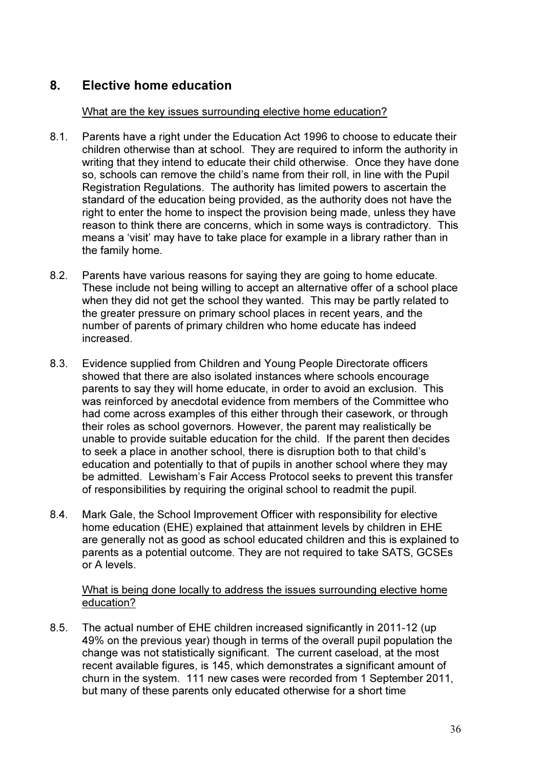# 8. Elective home education

#### What are the key issues surrounding elective home education?

- 8.1. Parents have a right under the Education Act 1996 to choose to educate their children otherwise than at school. They are required to inform the authority in writing that they intend to educate their child otherwise. Once they have done so, schools can remove the child's name from their roll, in line with the Pupil Registration Regulations. The authority has limited powers to ascertain the standard of the education being provided, as the authority does not have the right to enter the home to inspect the provision being made, unless they have reason to think there are concerns, which in some ways is contradictory. This means a 'visit' may have to take place for example in a library rather than in the family home.
- 8.2. Parents have various reasons for saying they are going to home educate. These include not being willing to accept an alternative offer of a school place when they did not get the school they wanted. This may be partly related to the greater pressure on primary school places in recent years, and the number of parents of primary children who home educate has indeed increased.
- 8.3. Evidence supplied from Children and Young People Directorate officers showed that there are also isolated instances where schools encourage parents to say they will home educate, in order to avoid an exclusion. This was reinforced by anecdotal evidence from members of the Committee who had come across examples of this either through their casework, or through their roles as school governors. However, the parent may realistically be unable to provide suitable education for the child. If the parent then decides to seek a place in another school, there is disruption both to that child's education and potentially to that of pupils in another school where they may be admitted. Lewisham's Fair Access Protocol seeks to prevent this transfer of responsibilities by requiring the original school to readmit the pupil.
- 8.4. Mark Gale, the School Improvement Officer with responsibility for elective home education (EHE) explained that attainment levels by children in EHE are generally not as good as school educated children and this is explained to parents as a potential outcome. They are not required to take SATS, GCSEs or A levels.

## What is being done locally to address the issues surrounding elective home education?

8.5. The actual number of EHE children increased significantly in 2011-12 (up 49% on the previous year) though in terms of the overall pupil population the change was not statistically significant. The current caseload, at the most recent available figures, is 145, which demonstrates a significant amount of churn in the system. 111 new cases were recorded from 1 September 2011, but many of these parents only educated otherwise for a short time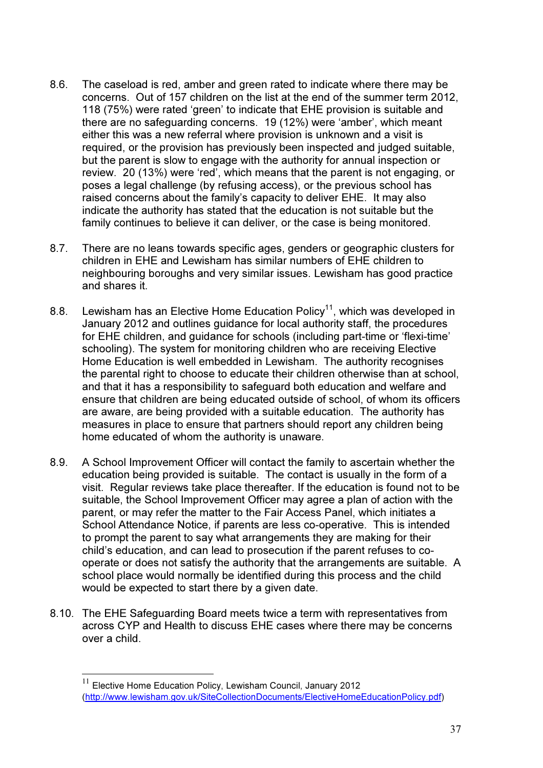- 8.6. The caseload is red, amber and green rated to indicate where there may be concerns. Out of 157 children on the list at the end of the summer term 2012, 118 (75%) were rated 'green' to indicate that EHE provision is suitable and there are no safeguarding concerns. 19 (12%) were 'amber', which meant either this was a new referral where provision is unknown and a visit is required, or the provision has previously been inspected and judged suitable, but the parent is slow to engage with the authority for annual inspection or review. 20 (13%) were 'red', which means that the parent is not engaging, or poses a legal challenge (by refusing access), or the previous school has raised concerns about the family's capacity to deliver EHE. It may also indicate the authority has stated that the education is not suitable but the family continues to believe it can deliver, or the case is being monitored.
- 8.7. There are no leans towards specific ages, genders or geographic clusters for children in EHE and Lewisham has similar numbers of EHE children to neighbouring boroughs and very similar issues. Lewisham has good practice and shares it.
- 8.8. Lewisham has an Elective Home Education Policy<sup>11</sup>, which was developed in January 2012 and outlines guidance for local authority staff, the procedures for EHE children, and guidance for schools (including part-time or 'flexi-time' schooling). The system for monitoring children who are receiving Elective Home Education is well embedded in Lewisham. The authority recognises the parental right to choose to educate their children otherwise than at school, and that it has a responsibility to safeguard both education and welfare and ensure that children are being educated outside of school, of whom its officers are aware, are being provided with a suitable education. The authority has measures in place to ensure that partners should report any children being home educated of whom the authority is unaware.
- 8.9. A School Improvement Officer will contact the family to ascertain whether the education being provided is suitable. The contact is usually in the form of a visit. Regular reviews take place thereafter. If the education is found not to be suitable, the School Improvement Officer may agree a plan of action with the parent, or may refer the matter to the Fair Access Panel, which initiates a School Attendance Notice, if parents are less co-operative. This is intended to prompt the parent to say what arrangements they are making for their child's education, and can lead to prosecution if the parent refuses to cooperate or does not satisfy the authority that the arrangements are suitable. A school place would normally be identified during this process and the child would be expected to start there by a given date.
- 8.10. The EHE Safeguarding Board meets twice a term with representatives from across CYP and Health to discuss EHE cases where there may be concerns over a child.

 $\overline{a}$ 

 $11$  Elective Home Education Policy, Lewisham Council, January 2012 (http://www.lewisham.gov.uk/SiteCollectionDocuments/ElectiveHomeEducationPolicy.pdf)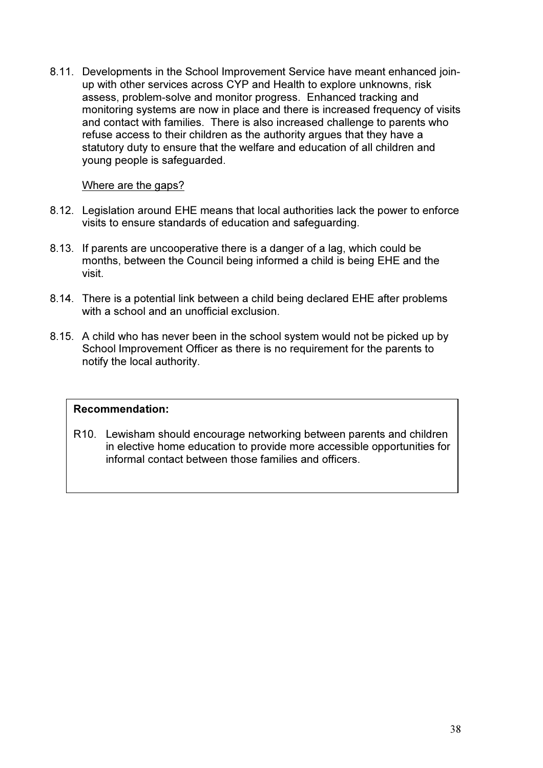8.11. Developments in the School Improvement Service have meant enhanced joinup with other services across CYP and Health to explore unknowns, risk assess, problem-solve and monitor progress. Enhanced tracking and monitoring systems are now in place and there is increased frequency of visits and contact with families. There is also increased challenge to parents who refuse access to their children as the authority argues that they have a statutory duty to ensure that the welfare and education of all children and young people is safeguarded.

## Where are the gaps?

- 8.12. Legislation around EHE means that local authorities lack the power to enforce visits to ensure standards of education and safeguarding.
- 8.13. If parents are uncooperative there is a danger of a lag, which could be months, between the Council being informed a child is being EHE and the visit.
- 8.14. There is a potential link between a child being declared EHE after problems with a school and an unofficial exclusion
- 8.15. A child who has never been in the school system would not be picked up by School Improvement Officer as there is no requirement for the parents to notify the local authority.

## Recommendation:

R10. Lewisham should encourage networking between parents and children in elective home education to provide more accessible opportunities for informal contact between those families and officers.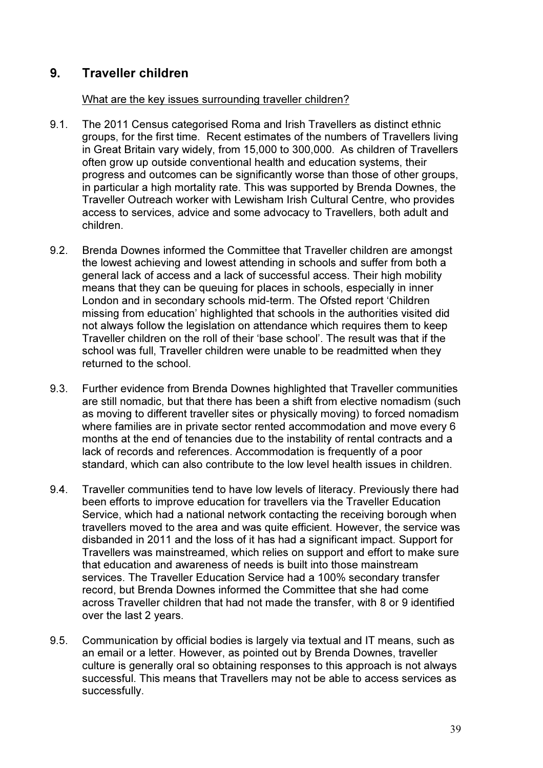# 9. Traveller children

## What are the key issues surrounding traveller children?

- 9.1. The 2011 Census categorised Roma and Irish Travellers as distinct ethnic groups, for the first time. Recent estimates of the numbers of Travellers living in Great Britain vary widely, from 15,000 to 300,000. As children of Travellers often grow up outside conventional health and education systems, their progress and outcomes can be significantly worse than those of other groups, in particular a high mortality rate. This was supported by Brenda Downes, the Traveller Outreach worker with Lewisham Irish Cultural Centre, who provides access to services, advice and some advocacy to Travellers, both adult and children.
- 9.2. Brenda Downes informed the Committee that Traveller children are amongst the lowest achieving and lowest attending in schools and suffer from both a general lack of access and a lack of successful access. Their high mobility means that they can be queuing for places in schools, especially in inner London and in secondary schools mid-term. The Ofsted report 'Children missing from education' highlighted that schools in the authorities visited did not always follow the legislation on attendance which requires them to keep Traveller children on the roll of their 'base school'. The result was that if the school was full, Traveller children were unable to be readmitted when they returned to the school.
- 9.3. Further evidence from Brenda Downes highlighted that Traveller communities are still nomadic, but that there has been a shift from elective nomadism (such as moving to different traveller sites or physically moving) to forced nomadism where families are in private sector rented accommodation and move every 6 months at the end of tenancies due to the instability of rental contracts and a lack of records and references. Accommodation is frequently of a poor standard, which can also contribute to the low level health issues in children.
- 9.4. Traveller communities tend to have low levels of literacy. Previously there had been efforts to improve education for travellers via the Traveller Education Service, which had a national network contacting the receiving borough when travellers moved to the area and was quite efficient. However, the service was disbanded in 2011 and the loss of it has had a significant impact. Support for Travellers was mainstreamed, which relies on support and effort to make sure that education and awareness of needs is built into those mainstream services. The Traveller Education Service had a 100% secondary transfer record, but Brenda Downes informed the Committee that she had come across Traveller children that had not made the transfer, with 8 or 9 identified over the last 2 years.
- 9.5. Communication by official bodies is largely via textual and IT means, such as an email or a letter. However, as pointed out by Brenda Downes, traveller culture is generally oral so obtaining responses to this approach is not always successful. This means that Travellers may not be able to access services as successfully.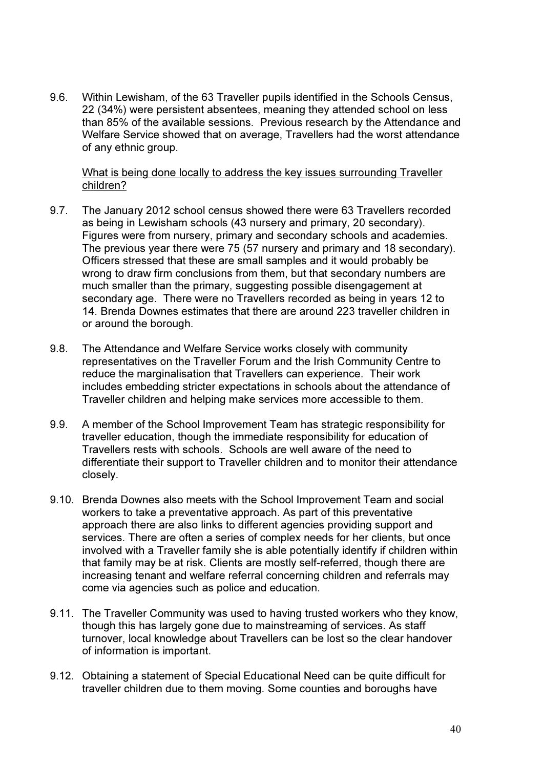9.6. Within Lewisham, of the 63 Traveller pupils identified in the Schools Census, 22 (34%) were persistent absentees, meaning they attended school on less than 85% of the available sessions. Previous research by the Attendance and Welfare Service showed that on average, Travellers had the worst attendance of any ethnic group.

#### What is being done locally to address the key issues surrounding Traveller children?

- 9.7. The January 2012 school census showed there were 63 Travellers recorded as being in Lewisham schools (43 nursery and primary, 20 secondary). Figures were from nursery, primary and secondary schools and academies. The previous year there were 75 (57 nursery and primary and 18 secondary). Officers stressed that these are small samples and it would probably be wrong to draw firm conclusions from them, but that secondary numbers are much smaller than the primary, suggesting possible disengagement at secondary age. There were no Travellers recorded as being in years 12 to 14. Brenda Downes estimates that there are around 223 traveller children in or around the borough.
- 9.8. The Attendance and Welfare Service works closely with community representatives on the Traveller Forum and the Irish Community Centre to reduce the marginalisation that Travellers can experience. Their work includes embedding stricter expectations in schools about the attendance of Traveller children and helping make services more accessible to them.
- 9.9. A member of the School Improvement Team has strategic responsibility for traveller education, though the immediate responsibility for education of Travellers rests with schools. Schools are well aware of the need to differentiate their support to Traveller children and to monitor their attendance closely.
- 9.10. Brenda Downes also meets with the School Improvement Team and social workers to take a preventative approach. As part of this preventative approach there are also links to different agencies providing support and services. There are often a series of complex needs for her clients, but once involved with a Traveller family she is able potentially identify if children within that family may be at risk. Clients are mostly self-referred, though there are increasing tenant and welfare referral concerning children and referrals may come via agencies such as police and education.
- 9.11. The Traveller Community was used to having trusted workers who they know, though this has largely gone due to mainstreaming of services. As staff turnover, local knowledge about Travellers can be lost so the clear handover of information is important.
- 9.12. Obtaining a statement of Special Educational Need can be quite difficult for traveller children due to them moving. Some counties and boroughs have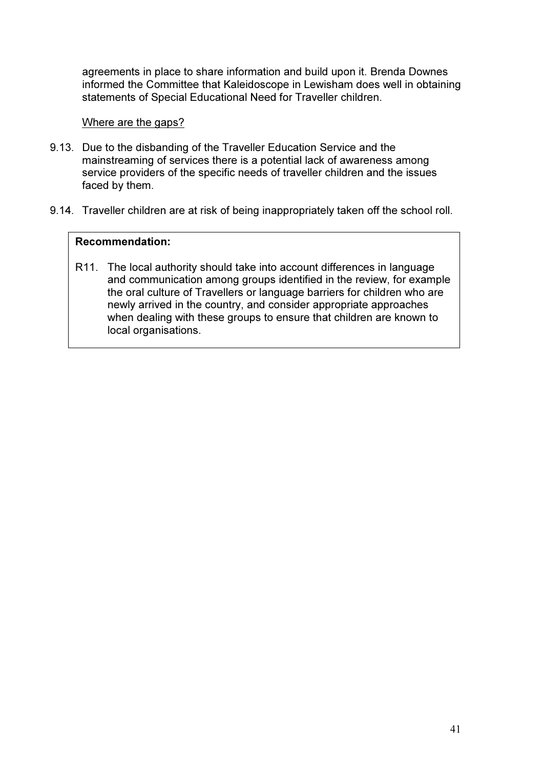agreements in place to share information and build upon it. Brenda Downes informed the Committee that Kaleidoscope in Lewisham does well in obtaining statements of Special Educational Need for Traveller children.

#### Where are the gaps?

- 9.13. Due to the disbanding of the Traveller Education Service and the mainstreaming of services there is a potential lack of awareness among service providers of the specific needs of traveller children and the issues faced by them.
- 9.14. Traveller children are at risk of being inappropriately taken off the school roll.

#### Recommendation:

R11. The local authority should take into account differences in language and communication among groups identified in the review, for example the oral culture of Travellers or language barriers for children who are newly arrived in the country, and consider appropriate approaches when dealing with these groups to ensure that children are known to local organisations.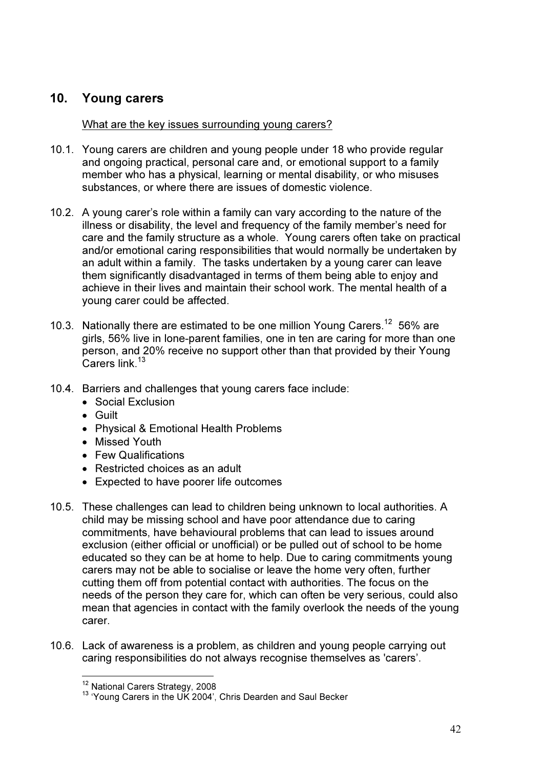# 10. Young carers

## What are the key issues surrounding young carers?

- 10.1. Young carers are children and young people under 18 who provide regular and ongoing practical, personal care and, or emotional support to a family member who has a physical, learning or mental disability, or who misuses substances, or where there are issues of domestic violence.
- 10.2. A young carer's role within a family can vary according to the nature of the illness or disability, the level and frequency of the family member's need for care and the family structure as a whole. Young carers often take on practical and/or emotional caring responsibilities that would normally be undertaken by an adult within a family. The tasks undertaken by a young carer can leave them significantly disadvantaged in terms of them being able to enjoy and achieve in their lives and maintain their school work. The mental health of a young carer could be affected.
- 10.3. Nationally there are estimated to be one million Young Carers.<sup>12</sup> 56% are girls, 56% live in lone-parent families, one in ten are caring for more than one person, and 20% receive no support other than that provided by their Young .<br>Carers link.<sup>13</sup>
- 10.4. Barriers and challenges that young carers face include:
	- Social Exclusion
	- Guilt

 $\overline{a}$ 

- Physical & Emotional Health Problems
- Missed Youth
- Few Qualifications
- Restricted choices as an adult
- Expected to have poorer life outcomes
- 10.5. These challenges can lead to children being unknown to local authorities. A child may be missing school and have poor attendance due to caring commitments, have behavioural problems that can lead to issues around exclusion (either official or unofficial) or be pulled out of school to be home educated so they can be at home to help. Due to caring commitments young carers may not be able to socialise or leave the home very often, further cutting them off from potential contact with authorities. The focus on the needs of the person they care for, which can often be very serious, could also mean that agencies in contact with the family overlook the needs of the young carer.
- 10.6. Lack of awareness is a problem, as children and young people carrying out caring responsibilities do not always recognise themselves as 'carers'.

<sup>&</sup>lt;sup>12</sup> National Carers Strategy, 2008

<sup>&</sup>lt;sup>13</sup> 'Young Carers in the UK 2004', Chris Dearden and Saul Becker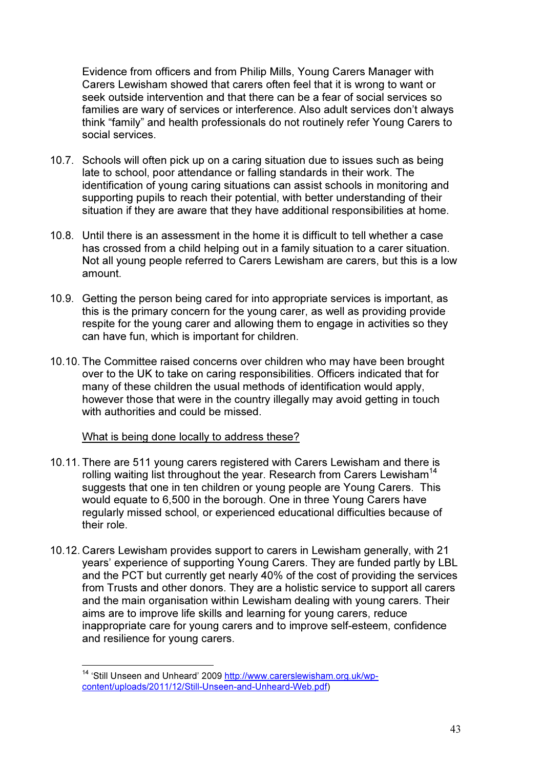Evidence from officers and from Philip Mills, Young Carers Manager with Carers Lewisham showed that carers often feel that it is wrong to want or seek outside intervention and that there can be a fear of social services so families are wary of services or interference. Also adult services don't always think "family" and health professionals do not routinely refer Young Carers to social services.

- 10.7. Schools will often pick up on a caring situation due to issues such as being late to school, poor attendance or falling standards in their work. The identification of young caring situations can assist schools in monitoring and supporting pupils to reach their potential, with better understanding of their situation if they are aware that they have additional responsibilities at home.
- 10.8. Until there is an assessment in the home it is difficult to tell whether a case has crossed from a child helping out in a family situation to a carer situation. Not all young people referred to Carers Lewisham are carers, but this is a low amount.
- 10.9. Getting the person being cared for into appropriate services is important, as this is the primary concern for the young carer, as well as providing provide respite for the young carer and allowing them to engage in activities so they can have fun, which is important for children.
- 10.10. The Committee raised concerns over children who may have been brought over to the UK to take on caring responsibilities. Officers indicated that for many of these children the usual methods of identification would apply, however those that were in the country illegally may avoid getting in touch with authorities and could be missed.

## What is being done locally to address these?

- 10.11. There are 511 young carers registered with Carers Lewisham and there is rolling waiting list throughout the year. Research from Carers Lewisham<sup>14</sup> suggests that one in ten children or young people are Young Carers. This would equate to 6,500 in the borough. One in three Young Carers have regularly missed school, or experienced educational difficulties because of their role.
- 10.12. Carers Lewisham provides support to carers in Lewisham generally, with 21 years' experience of supporting Young Carers. They are funded partly by LBL and the PCT but currently get nearly 40% of the cost of providing the services from Trusts and other donors. They are a holistic service to support all carers and the main organisation within Lewisham dealing with young carers. Their aims are to improve life skills and learning for young carers, reduce inappropriate care for young carers and to improve self-esteem, confidence and resilience for young carers.

 $\overline{a}$ 

<sup>&</sup>lt;sup>14</sup> 'Still Unseen and Unheard' 2009 http://www.carerslewisham.org.uk/wpcontent/uploads/2011/12/Still-Unseen-and-Unheard-Web.pdf)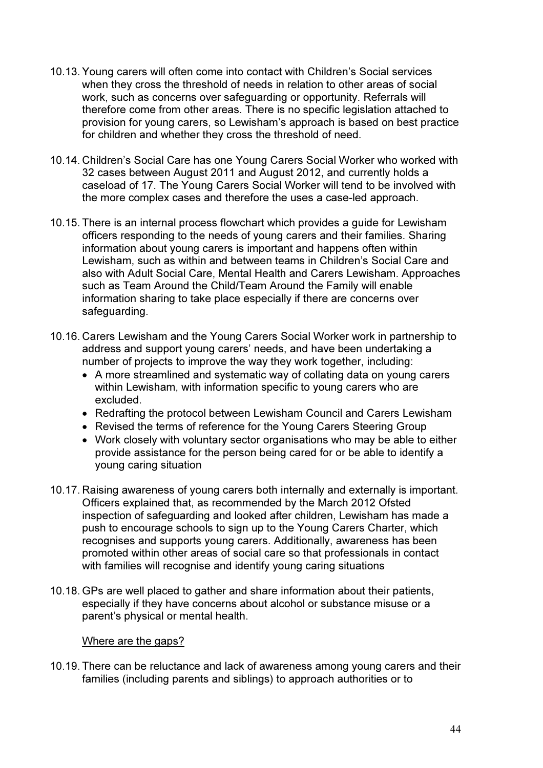- 10.13. Young carers will often come into contact with Children's Social services when they cross the threshold of needs in relation to other areas of social work, such as concerns over safeguarding or opportunity. Referrals will therefore come from other areas. There is no specific legislation attached to provision for young carers, so Lewisham's approach is based on best practice for children and whether they cross the threshold of need.
- 10.14. Children's Social Care has one Young Carers Social Worker who worked with 32 cases between August 2011 and August 2012, and currently holds a caseload of 17. The Young Carers Social Worker will tend to be involved with the more complex cases and therefore the uses a case-led approach.
- 10.15. There is an internal process flowchart which provides a guide for Lewisham officers responding to the needs of young carers and their families. Sharing information about young carers is important and happens often within Lewisham, such as within and between teams in Children's Social Care and also with Adult Social Care, Mental Health and Carers Lewisham. Approaches such as Team Around the Child/Team Around the Family will enable information sharing to take place especially if there are concerns over safeguarding.
- 10.16. Carers Lewisham and the Young Carers Social Worker work in partnership to address and support young carers' needs, and have been undertaking a number of projects to improve the way they work together, including:
	- A more streamlined and systematic way of collating data on young carers within Lewisham, with information specific to young carers who are excluded.
	- Redrafting the protocol between Lewisham Council and Carers Lewisham
	- Revised the terms of reference for the Young Carers Steering Group
	- Work closely with voluntary sector organisations who may be able to either provide assistance for the person being cared for or be able to identify a young caring situation
- 10.17. Raising awareness of young carers both internally and externally is important. Officers explained that, as recommended by the March 2012 Ofsted inspection of safeguarding and looked after children, Lewisham has made a push to encourage schools to sign up to the Young Carers Charter, which recognises and supports young carers. Additionally, awareness has been promoted within other areas of social care so that professionals in contact with families will recognise and identify young caring situations
- 10.18. GPs are well placed to gather and share information about their patients, especially if they have concerns about alcohol or substance misuse or a parent's physical or mental health.

#### Where are the gaps?

10.19. There can be reluctance and lack of awareness among young carers and their families (including parents and siblings) to approach authorities or to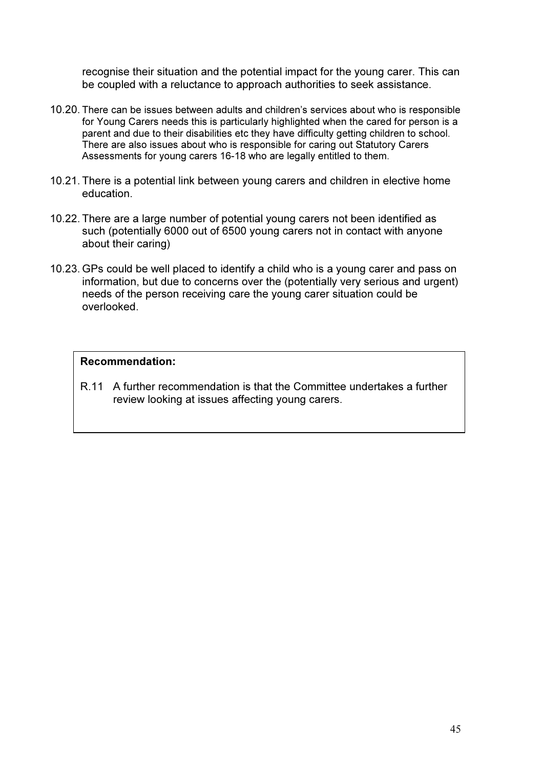recognise their situation and the potential impact for the young carer. This can be coupled with a reluctance to approach authorities to seek assistance.

- 10.20. There can be issues between adults and children's services about who is responsible for Young Carers needs this is particularly highlighted when the cared for person is a parent and due to their disabilities etc they have difficulty getting children to school. There are also issues about who is responsible for caring out Statutory Carers Assessments for young carers 16-18 who are legally entitled to them.
- 10.21. There is a potential link between young carers and children in elective home education.
- 10.22. There are a large number of potential young carers not been identified as such (potentially 6000 out of 6500 young carers not in contact with anyone about their caring)
- 10.23. GPs could be well placed to identify a child who is a young carer and pass on information, but due to concerns over the (potentially very serious and urgent) needs of the person receiving care the young carer situation could be overlooked.

#### Recommendation:

R.11 A further recommendation is that the Committee undertakes a further review looking at issues affecting young carers.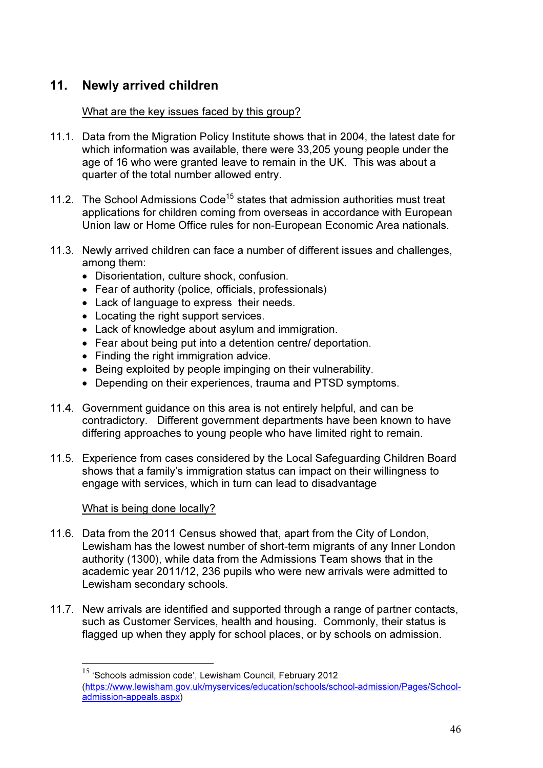# 11. Newly arrived children

## What are the key issues faced by this group?

- 11.1. Data from the Migration Policy Institute shows that in 2004, the latest date for which information was available, there were 33,205 young people under the age of 16 who were granted leave to remain in the UK. This was about a quarter of the total number allowed entry.
- 11.2. The School Admissions Code<sup>15</sup> states that admission authorities must treat applications for children coming from overseas in accordance with European Union law or Home Office rules for non-European Economic Area nationals.
- 11.3. Newly arrived children can face a number of different issues and challenges, among them:
	- Disorientation, culture shock, confusion.
	- Fear of authority (police, officials, professionals)
	- Lack of language to express their needs.
	- Locating the right support services.
	- Lack of knowledge about asylum and immigration.
	- Fear about being put into a detention centre/ deportation.
	- Finding the right immigration advice.
	- Being exploited by people impinging on their vulnerability.
	- Depending on their experiences, trauma and PTSD symptoms.
- 11.4. Government guidance on this area is not entirely helpful, and can be contradictory. Different government departments have been known to have differing approaches to young people who have limited right to remain.
- 11.5. Experience from cases considered by the Local Safeguarding Children Board shows that a family's immigration status can impact on their willingness to engage with services, which in turn can lead to disadvantage

## What is being done locally?

 $\overline{a}$ 

- 11.6. Data from the 2011 Census showed that, apart from the City of London, Lewisham has the lowest number of short-term migrants of any Inner London authority (1300), while data from the Admissions Team shows that in the academic year 2011/12, 236 pupils who were new arrivals were admitted to Lewisham secondary schools.
- 11.7. New arrivals are identified and supported through a range of partner contacts, such as Customer Services, health and housing. Commonly, their status is flagged up when they apply for school places, or by schools on admission.

<sup>&</sup>lt;sup>15</sup> 'Schools admission code', Lewisham Council, February 2012 (https://www.lewisham.gov.uk/myservices/education/schools/school-admission/Pages/Schooladmission-appeals.aspx)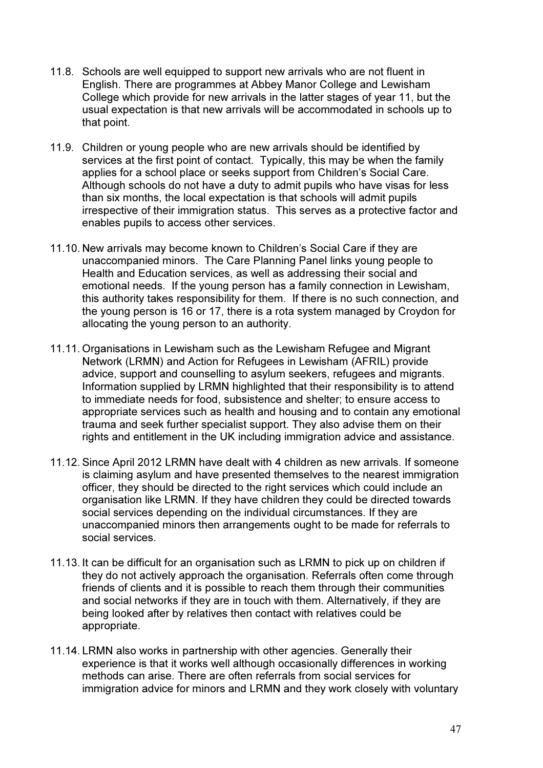- 11.8. Schools are well equipped to support new arrivals who are not fluent in English. There are programmes at Abbey Manor College and Lewisham College which provide for new arrivals in the latter stages of year 11, but the usual expectation is that new arrivals will be accommodated in schools up to that point.
- 11.9. Children or young people who are new arrivals should be identified by services at the first point of contact. Typically, this may be when the family applies for a school place or seeks support from Children's Social Care. Although schools do not have a duty to admit pupils who have visas for less than six months, the local expectation is that schools will admit pupils irrespective of their immigration status. This serves as a protective factor and enables pupils to access other services.
- 11.10. New arrivals may become known to Children's Social Care if they are unaccompanied minors. The Care Planning Panel links young people to Health and Education services, as well as addressing their social and emotional needs. If the young person has a family connection in Lewisham, this authority takes responsibility for them. If there is no such connection, and the young person is 16 or 17, there is a rota system managed by Croydon for allocating the young person to an authority.
- 11.11. Organisations in Lewisham such as the Lewisham Refugee and Migrant Network (LRMN) and Action for Refugees in Lewisham (AFRIL) provide advice, support and counselling to asylum seekers, refugees and migrants. Information supplied by LRMN highlighted that their responsibility is to attend to immediate needs for food, subsistence and shelter; to ensure access to appropriate services such as health and housing and to contain any emotional trauma and seek further specialist support. They also advise them on their rights and entitlement in the UK including immigration advice and assistance.
- 11.12. Since April 2012 LRMN have dealt with 4 children as new arrivals. If someone is claiming asylum and have presented themselves to the nearest immigration officer, they should be directed to the right services which could include an organisation like LRMN. If they have children they could be directed towards social services depending on the individual circumstances. If they are unaccompanied minors then arrangements ought to be made for referrals to social services.
- 11.13. It can be difficult for an organisation such as LRMN to pick up on children if they do not actively approach the organisation. Referrals often come through friends of clients and it is possible to reach them through their communities and social networks if they are in touch with them. Alternatively, if they are being looked after by relatives then contact with relatives could be appropriate.
- 11.14. LRMN also works in partnership with other agencies. Generally their experience is that it works well although occasionally differences in working methods can arise. There are often referrals from social services for immigration advice for minors and LRMN and they work closely with voluntary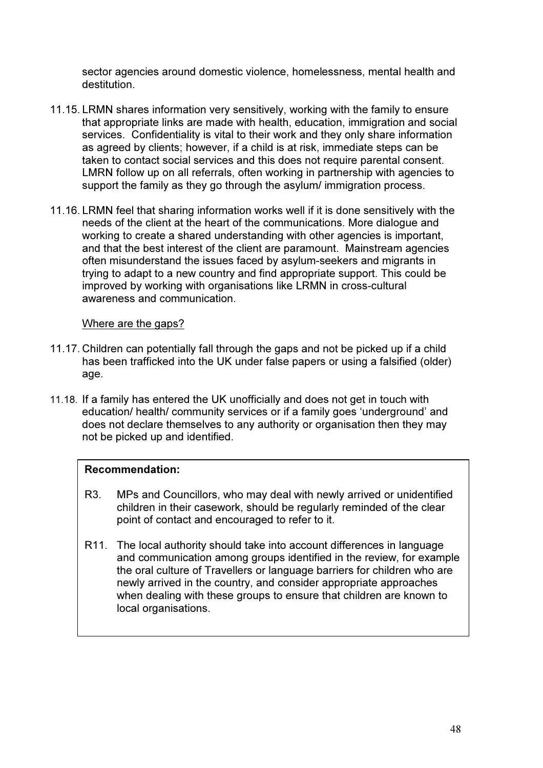sector agencies around domestic violence, homelessness, mental health and destitution.

- 11.15. LRMN shares information very sensitively, working with the family to ensure that appropriate links are made with health, education, immigration and social services. Confidentiality is vital to their work and they only share information as agreed by clients; however, if a child is at risk, immediate steps can be taken to contact social services and this does not require parental consent. LMRN follow up on all referrals, often working in partnership with agencies to support the family as they go through the asylum/ immigration process.
- 11.16. LRMN feel that sharing information works well if it is done sensitively with the needs of the client at the heart of the communications. More dialogue and working to create a shared understanding with other agencies is important, and that the best interest of the client are paramount. Mainstream agencies often misunderstand the issues faced by asylum-seekers and migrants in trying to adapt to a new country and find appropriate support. This could be improved by working with organisations like LRMN in cross-cultural awareness and communication.

## Where are the gaps?

- 11.17. Children can potentially fall through the gaps and not be picked up if a child has been trafficked into the UK under false papers or using a falsified (older) age.
- 11.18. If a family has entered the UK unofficially and does not get in touch with education/ health/ community services or if a family goes 'underground' and does not declare themselves to any authority or organisation then they may not be picked up and identified.

## Recommendation:

- R3. MPs and Councillors, who may deal with newly arrived or unidentified children in their casework, should be regularly reminded of the clear point of contact and encouraged to refer to it.
- R11. The local authority should take into account differences in language and communication among groups identified in the review, for example the oral culture of Travellers or language barriers for children who are newly arrived in the country, and consider appropriate approaches when dealing with these groups to ensure that children are known to local organisations.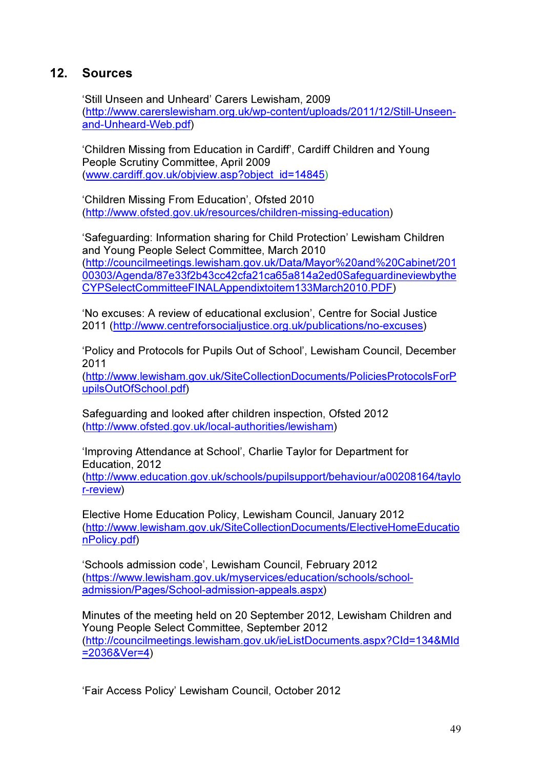# 12. Sources

'Still Unseen and Unheard' Carers Lewisham, 2009 (http://www.carerslewisham.org.uk/wp-content/uploads/2011/12/Still-Unseenand-Unheard-Web.pdf)

'Children Missing from Education in Cardiff', Cardiff Children and Young People Scrutiny Committee, April 2009 (www.cardiff.gov.uk/objview.asp?object\_id=14845)

'Children Missing From Education', Ofsted 2010 (http://www.ofsted.gov.uk/resources/children-missing-education)

'Safeguarding: Information sharing for Child Protection' Lewisham Children and Young People Select Committee, March 2010 (http://councilmeetings.lewisham.gov.uk/Data/Mayor%20and%20Cabinet/201 00303/Agenda/87e33f2b43cc42cfa21ca65a814a2ed0Safeguardineviewbythe CYPSelectCommitteeFINALAppendixtoitem133March2010.PDF)

'No excuses: A review of educational exclusion', Centre for Social Justice 2011 (http://www.centreforsocialjustice.org.uk/publications/no-excuses)

'Policy and Protocols for Pupils Out of School', Lewisham Council, December 2011

(http://www.lewisham.gov.uk/SiteCollectionDocuments/PoliciesProtocolsForP upilsOutOfSchool.pdf)

Safeguarding and looked after children inspection, Ofsted 2012 (http://www.ofsted.gov.uk/local-authorities/lewisham)

'Improving Attendance at School', Charlie Taylor for Department for Education, 2012

(http://www.education.gov.uk/schools/pupilsupport/behaviour/a00208164/taylo r-review)

Elective Home Education Policy, Lewisham Council, January 2012 (http://www.lewisham.gov.uk/SiteCollectionDocuments/ElectiveHomeEducatio nPolicy.pdf)

'Schools admission code', Lewisham Council, February 2012 (https://www.lewisham.gov.uk/myservices/education/schools/schooladmission/Pages/School-admission-appeals.aspx)

Minutes of the meeting held on 20 September 2012, Lewisham Children and Young People Select Committee, September 2012 (http://councilmeetings.lewisham.gov.uk/ieListDocuments.aspx?CId=134&MId =2036&Ver=4)

'Fair Access Policy' Lewisham Council, October 2012